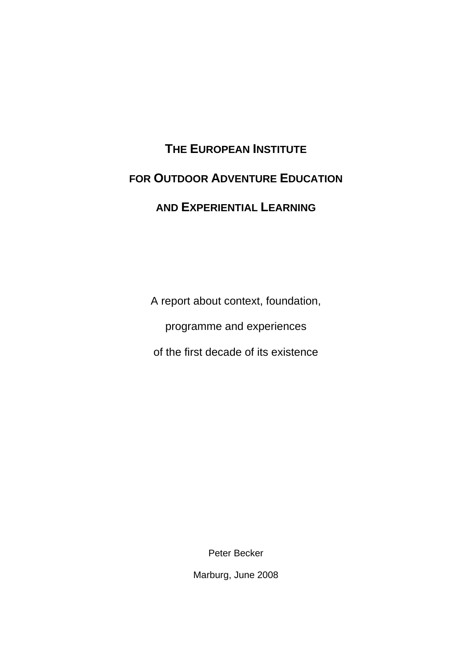# **THE EUROPEAN INSTITUTE FOR OUTDOOR ADVENTURE EDUCATION AND EXPERIENTIAL LEARNING**

A report about context, foundation,

programme and experiences

of the first decade of its existence

Peter Becker

Marburg, June 2008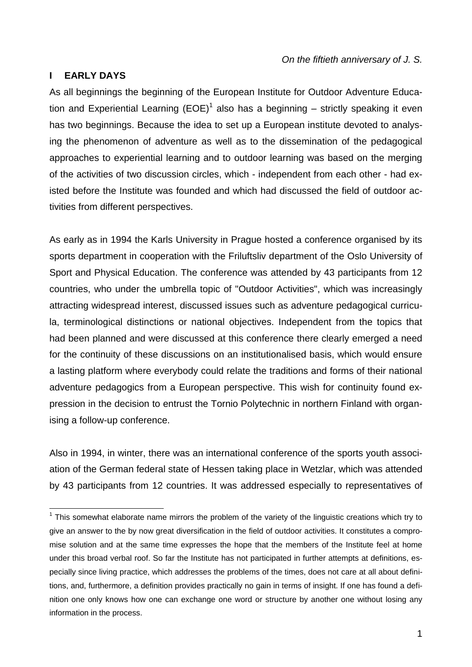## **I EARLY DAYS**

 $\overline{a}$ 

As all beginnings the beginning of the European Institute for Outdoor Adventure Education and Experiential Learning (EOE)<sup>1</sup> also has a beginning – strictly speaking it even has two beginnings. Because the idea to set up a European institute devoted to analysing the phenomenon of adventure as well as to the dissemination of the pedagogical approaches to experiential learning and to outdoor learning was based on the merging of the activities of two discussion circles, which - independent from each other - had existed before the Institute was founded and which had discussed the field of outdoor activities from different perspectives.

As early as in 1994 the Karls University in Prague hosted a conference organised by its sports department in cooperation with the Friluftsliv department of the Oslo University of Sport and Physical Education. The conference was attended by 43 participants from 12 countries, who under the umbrella topic of "Outdoor Activities", which was increasingly attracting widespread interest, discussed issues such as adventure pedagogical curricula, terminological distinctions or national objectives. Independent from the topics that had been planned and were discussed at this conference there clearly emerged a need for the continuity of these discussions on an institutionalised basis, which would ensure a lasting platform where everybody could relate the traditions and forms of their national adventure pedagogics from a European perspective. This wish for continuity found expression in the decision to entrust the Tornio Polytechnic in northern Finland with organising a follow-up conference.

Also in 1994, in winter, there was an international conference of the sports youth association of the German federal state of Hessen taking place in Wetzlar, which was attended by 43 participants from 12 countries. It was addressed especially to representatives of

<sup>&</sup>lt;sup>1</sup> This somewhat elaborate name mirrors the problem of the variety of the linguistic creations which try to give an answer to the by now great diversification in the field of outdoor activities. It constitutes a compromise solution and at the same time expresses the hope that the members of the Institute feel at home under this broad verbal roof. So far the Institute has not participated in further attempts at definitions, especially since living practice, which addresses the problems of the times, does not care at all about definitions, and, furthermore, a definition provides practically no gain in terms of insight. If one has found a definition one only knows how one can exchange one word or structure by another one without losing any information in the process.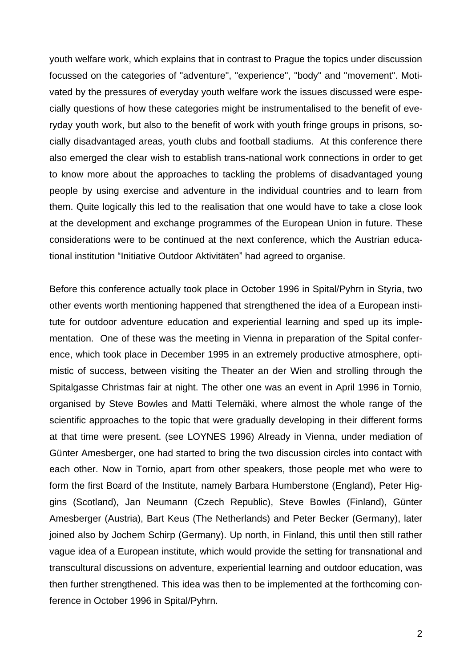youth welfare work, which explains that in contrast to Prague the topics under discussion focussed on the categories of "adventure", "experience", "body" and "movement". Motivated by the pressures of everyday youth welfare work the issues discussed were especially questions of how these categories might be instrumentalised to the benefit of everyday youth work, but also to the benefit of work with youth fringe groups in prisons, socially disadvantaged areas, youth clubs and football stadiums. At this conference there also emerged the clear wish to establish trans-national work connections in order to get to know more about the approaches to tackling the problems of disadvantaged young people by using exercise and adventure in the individual countries and to learn from them. Quite logically this led to the realisation that one would have to take a close look at the development and exchange programmes of the European Union in future. These considerations were to be continued at the next conference, which the Austrian educational institution "Initiative Outdoor Aktivitäten" had agreed to organise.

Before this conference actually took place in October 1996 in Spital/Pyhrn in Styria, two other events worth mentioning happened that strengthened the idea of a European institute for outdoor adventure education and experiential learning and sped up its implementation. One of these was the meeting in Vienna in preparation of the Spital conference, which took place in December 1995 in an extremely productive atmosphere, optimistic of success, between visiting the Theater an der Wien and strolling through the Spitalgasse Christmas fair at night. The other one was an event in April 1996 in Tornio, organised by Steve Bowles and Matti Telemäki, where almost the whole range of the scientific approaches to the topic that were gradually developing in their different forms at that time were present. (see LOYNES 1996) Already in Vienna, under mediation of Günter Amesberger, one had started to bring the two discussion circles into contact with each other. Now in Tornio, apart from other speakers, those people met who were to form the first Board of the Institute, namely Barbara Humberstone (England), Peter Higgins (Scotland), Jan Neumann (Czech Republic), Steve Bowles (Finland), Günter Amesberger (Austria), Bart Keus (The Netherlands) and Peter Becker (Germany), later joined also by Jochem Schirp (Germany). Up north, in Finland, this until then still rather vague idea of a European institute, which would provide the setting for transnational and transcultural discussions on adventure, experiential learning and outdoor education, was then further strengthened. This idea was then to be implemented at the forthcoming conference in October 1996 in Spital/Pyhrn.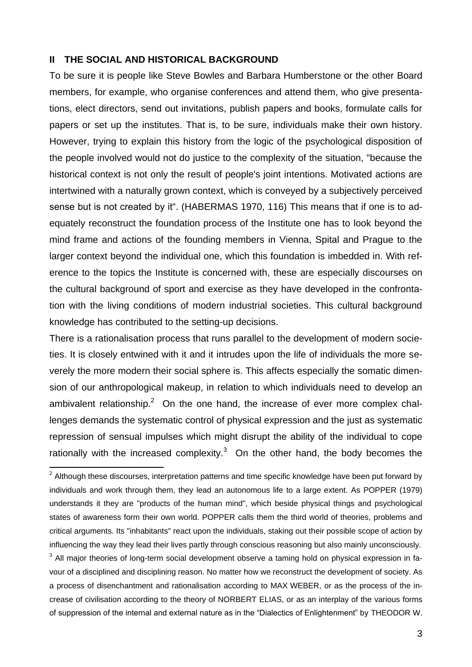### **II THE SOCIAL AND HISTORICAL BACKGROUND**

 $\overline{a}$ 

To be sure it is people like Steve Bowles and Barbara Humberstone or the other Board members, for example, who organise conferences and attend them, who give presentations, elect directors, send out invitations, publish papers and books, formulate calls for papers or set up the institutes. That is, to be sure, individuals make their own history. However, trying to explain this history from the logic of the psychological disposition of the people involved would not do justice to the complexity of the situation, "because the historical context is not only the result of people's joint intentions. Motivated actions are intertwined with a naturally grown context, which is conveyed by a subjectively perceived sense but is not created by it". (HABERMAS 1970, 116) This means that if one is to adequately reconstruct the foundation process of the Institute one has to look beyond the mind frame and actions of the founding members in Vienna, Spital and Prague to the larger context beyond the individual one, which this foundation is imbedded in. With reference to the topics the Institute is concerned with, these are especially discourses on the cultural background of sport and exercise as they have developed in the confrontation with the living conditions of modern industrial societies. This cultural background knowledge has contributed to the setting-up decisions.

There is a rationalisation process that runs parallel to the development of modern societies. It is closely entwined with it and it intrudes upon the life of individuals the more severely the more modern their social sphere is. This affects especially the somatic dimension of our anthropological makeup, in relation to which individuals need to develop an ambivalent relationship.<sup>2</sup> On the one hand, the increase of ever more complex challenges demands the systematic control of physical expression and the just as systematic repression of sensual impulses which might disrupt the ability of the individual to cope rationally with the increased complexity. $3$  On the other hand, the body becomes the

<sup>3</sup> All major theories of long-term social development observe a taming hold on physical expression in favour of a disciplined and disciplining reason. No matter how we reconstruct the development of society. As a process of disenchantment and rationalisation according to MAX WEBER, or as the process of the increase of civilisation according to the theory of NORBERT ELIAS, or as an interplay of the various forms of suppression of the internal and external nature as in the "Dialectics of Enlightenment" by THEODOR W.

 $2$  Although these discourses, interpretation patterns and time specific knowledge have been put forward by individuals and work through them, they lead an autonomous life to a large extent. As POPPER (1979) understands it they are "products of the human mind", which beside physical things and psychological states of awareness form their own world. POPPER calls them the third world of theories, problems and critical arguments. Its "inhabitants" react upon the individuals, staking out their possible scope of action by influencing the way they lead their lives partly through conscious reasoning but also mainly unconsciously.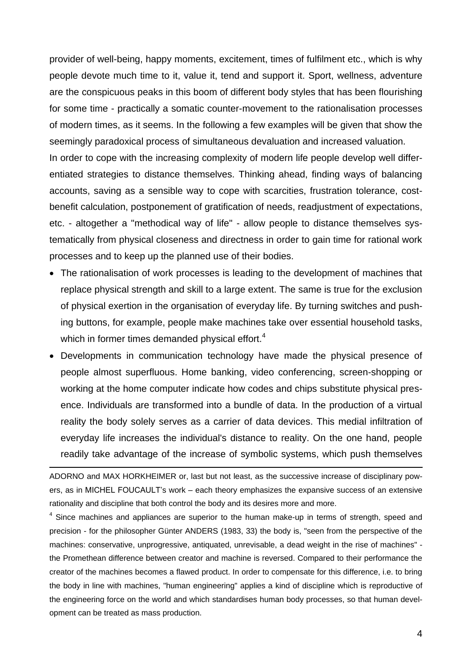provider of well-being, happy moments, excitement, times of fulfilment etc., which is why people devote much time to it, value it, tend and support it. Sport, wellness, adventure are the conspicuous peaks in this boom of different body styles that has been flourishing for some time - practically a somatic counter-movement to the rationalisation processes of modern times, as it seems. In the following a few examples will be given that show the seemingly paradoxical process of simultaneous devaluation and increased valuation. In order to cope with the increasing complexity of modern life people develop well differentiated strategies to distance themselves. Thinking ahead, finding ways of balancing accounts, saving as a sensible way to cope with scarcities, frustration tolerance, cost-

etc. - altogether a "methodical way of life" - allow people to distance themselves systematically from physical closeness and directness in order to gain time for rational work processes and to keep up the planned use of their bodies.

benefit calculation, postponement of gratification of needs, readjustment of expectations,

- The rationalisation of work processes is leading to the development of machines that replace physical strength and skill to a large extent. The same is true for the exclusion of physical exertion in the organisation of everyday life. By turning switches and pushing buttons, for example, people make machines take over essential household tasks, which in former times demanded physical effort.<sup>4</sup>
- Developments in communication technology have made the physical presence of people almost superfluous. Home banking, video conferencing, screen-shopping or working at the home computer indicate how codes and chips substitute physical presence. Individuals are transformed into a bundle of data. In the production of a virtual reality the body solely serves as a carrier of data devices. This medial infiltration of everyday life increases the individual's distance to reality. On the one hand, people readily take advantage of the increase of symbolic systems, which push themselves

ADORNO and MAX HORKHEIMER or, last but not least, as the successive increase of disciplinary powers, as in MICHEL FOUCAULT's work – each theory emphasizes the expansive success of an extensive rationality and discipline that both control the body and its desires more and more.

 $\overline{a}$ 

<sup>4</sup> Since machines and appliances are superior to the human make-up in terms of strength, speed and precision - for the philosopher Günter ANDERS (1983, 33) the body is, "seen from the perspective of the machines: conservative, unprogressive, antiquated, unrevisable, a dead weight in the rise of machines" the Promethean difference between creator and machine is reversed. Compared to their performance the creator of the machines becomes a flawed product. In order to compensate for this difference, i.e. to bring the body in line with machines, "human engineering" applies a kind of discipline which is reproductive of the engineering force on the world and which standardises human body processes, so that human development can be treated as mass production.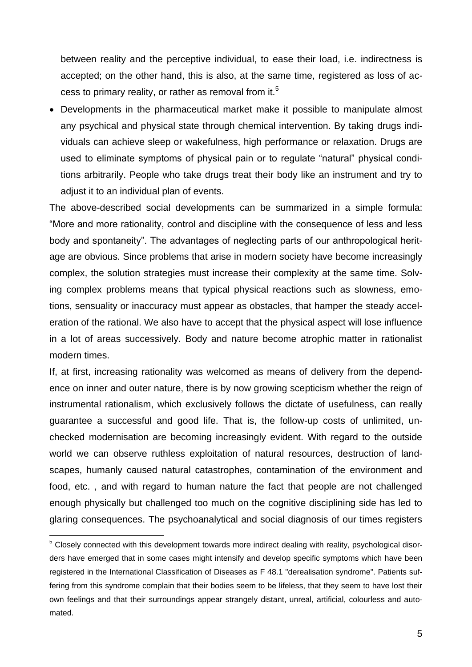between reality and the perceptive individual, to ease their load, i.e. indirectness is accepted; on the other hand, this is also, at the same time, registered as loss of access to primary reality, or rather as removal from it.<sup>5</sup>

 Developments in the pharmaceutical market make it possible to manipulate almost any psychical and physical state through chemical intervention. By taking drugs individuals can achieve sleep or wakefulness, high performance or relaxation. Drugs are used to eliminate symptoms of physical pain or to regulate "natural" physical conditions arbitrarily. People who take drugs treat their body like an instrument and try to adjust it to an individual plan of events.

The above-described social developments can be summarized in a simple formula: "More and more rationality, control and discipline with the consequence of less and less body and spontaneity". The advantages of neglecting parts of our anthropological heritage are obvious. Since problems that arise in modern society have become increasingly complex, the solution strategies must increase their complexity at the same time. Solving complex problems means that typical physical reactions such as slowness, emotions, sensuality or inaccuracy must appear as obstacles, that hamper the steady acceleration of the rational. We also have to accept that the physical aspect will lose influence in a lot of areas successively. Body and nature become atrophic matter in rationalist modern times.

If, at first, increasing rationality was welcomed as means of delivery from the dependence on inner and outer nature, there is by now growing scepticism whether the reign of instrumental rationalism, which exclusively follows the dictate of usefulness, can really guarantee a successful and good life. That is, the follow-up costs of unlimited, unchecked modernisation are becoming increasingly evident. With regard to the outside world we can observe ruthless exploitation of natural resources, destruction of landscapes, humanly caused natural catastrophes, contamination of the environment and food, etc. , and with regard to human nature the fact that people are not challenged enough physically but challenged too much on the cognitive disciplining side has led to glaring consequences. The psychoanalytical and social diagnosis of our times registers

<sup>&</sup>lt;sup>5</sup> Closely connected with this development towards more indirect dealing with reality, psychological disorders have emerged that in some cases might intensify and develop specific symptoms which have been registered in the International Classification of Diseases as F 48.1 "derealisation syndrome". Patients suffering from this syndrome complain that their bodies seem to be lifeless, that they seem to have lost their own feelings and that their surroundings appear strangely distant, unreal, artificial, colourless and automated.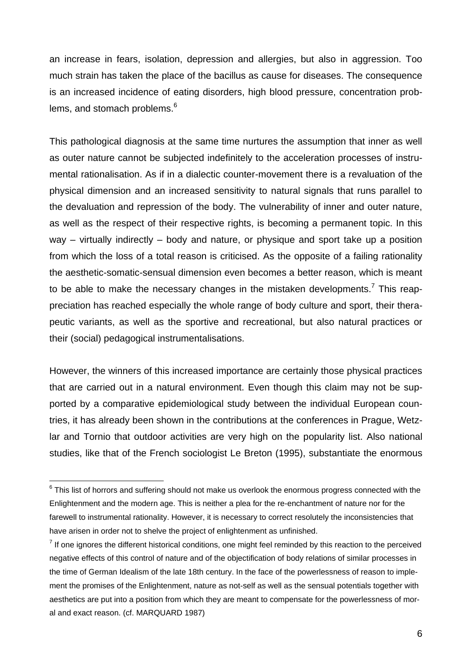an increase in fears, isolation, depression and allergies, but also in aggression. Too much strain has taken the place of the bacillus as cause for diseases. The consequence is an increased incidence of eating disorders, high blood pressure, concentration problems, and stomach problems.<sup>6</sup>

This pathological diagnosis at the same time nurtures the assumption that inner as well as outer nature cannot be subjected indefinitely to the acceleration processes of instrumental rationalisation. As if in a dialectic counter-movement there is a revaluation of the physical dimension and an increased sensitivity to natural signals that runs parallel to the devaluation and repression of the body. The vulnerability of inner and outer nature, as well as the respect of their respective rights, is becoming a permanent topic. In this way – virtually indirectly – body and nature, or physique and sport take up a position from which the loss of a total reason is criticised. As the opposite of a failing rationality the aesthetic-somatic-sensual dimension even becomes a better reason, which is meant to be able to make the necessary changes in the mistaken developments.<sup>7</sup> This reappreciation has reached especially the whole range of body culture and sport, their therapeutic variants, as well as the sportive and recreational, but also natural practices or their (social) pedagogical instrumentalisations.

However, the winners of this increased importance are certainly those physical practices that are carried out in a natural environment. Even though this claim may not be supported by a comparative epidemiological study between the individual European countries, it has already been shown in the contributions at the conferences in Prague, Wetzlar and Tornio that outdoor activities are very high on the popularity list. Also national studies, like that of the French sociologist Le Breton (1995), substantiate the enormous

<sup>————————————————————&</sup>lt;br><sup>6</sup> This list of horrors and suffering should not make us overlook the enormous progress connected with the Enlightenment and the modern age. This is neither a plea for the re-enchantment of nature nor for the farewell to instrumental rationality. However, it is necessary to correct resolutely the inconsistencies that have arisen in order not to shelve the project of enlightenment as unfinished.

 $<sup>7</sup>$  If one ignores the different historical conditions, one might feel reminded by this reaction to the perceived</sup> negative effects of this control of nature and of the objectification of body relations of similar processes in the time of German Idealism of the late 18th century. In the face of the powerlessness of reason to implement the promises of the Enlightenment, nature as not-self as well as the sensual potentials together with aesthetics are put into a position from which they are meant to compensate for the powerlessness of moral and exact reason. (cf. MARQUARD 1987)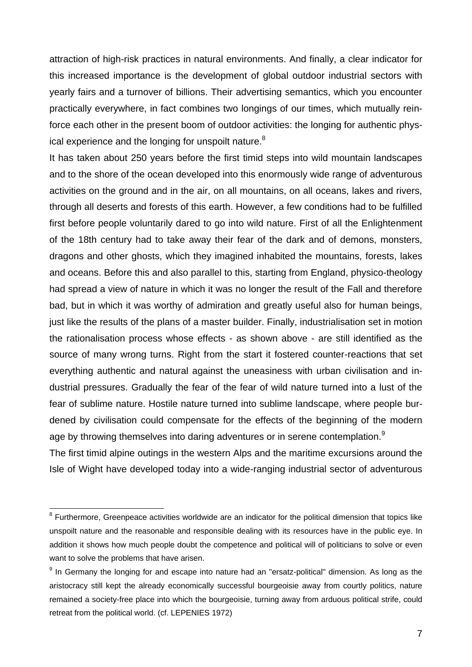attraction of high-risk practices in natural environments. And finally, a clear indicator for this increased importance is the development of global outdoor industrial sectors with yearly fairs and a turnover of billions. Their advertising semantics, which you encounter practically everywhere, in fact combines two longings of our times, which mutually reinforce each other in the present boom of outdoor activities: the longing for authentic physical experience and the longing for unspoilt nature.<sup>8</sup>

It has taken about 250 years before the first timid steps into wild mountain landscapes and to the shore of the ocean developed into this enormously wide range of adventurous activities on the ground and in the air, on all mountains, on all oceans, lakes and rivers, through all deserts and forests of this earth. However, a few conditions had to be fulfilled first before people voluntarily dared to go into wild nature. First of all the Enlightenment of the 18th century had to take away their fear of the dark and of demons, monsters, dragons and other ghosts, which they imagined inhabited the mountains, forests, lakes and oceans. Before this and also parallel to this, starting from England, physico-theology had spread a view of nature in which it was no longer the result of the Fall and therefore bad, but in which it was worthy of admiration and greatly useful also for human beings, just like the results of the plans of a master builder. Finally, industrialisation set in motion the rationalisation process whose effects - as shown above - are still identified as the source of many wrong turns. Right from the start it fostered counter-reactions that set everything authentic and natural against the uneasiness with urban civilisation and industrial pressures. Gradually the fear of the fear of wild nature turned into a lust of the fear of sublime nature. Hostile nature turned into sublime landscape, where people burdened by civilisation could compensate for the effects of the beginning of the modern age by throwing themselves into daring adventures or in serene contemplation.<sup>9</sup>

The first timid alpine outings in the western Alps and the maritime excursions around the Isle of Wight have developed today into a wide-ranging industrial sector of adventurous

<sup>&</sup>lt;sup>8</sup> Furthermore, Greenpeace activities worldwide are an indicator for the political dimension that topics like unspoilt nature and the reasonable and responsible dealing with its resources have in the public eye. In addition it shows how much people doubt the competence and political will of politicians to solve or even want to solve the problems that have arisen.

<sup>&</sup>lt;sup>9</sup> In Germany the longing for and escape into nature had an "ersatz-political" dimension. As long as the aristocracy still kept the already economically successful bourgeoisie away from courtly politics, nature remained a society-free place into which the bourgeoisie, turning away from arduous political strife, could retreat from the political world. (cf. LEPENIES 1972)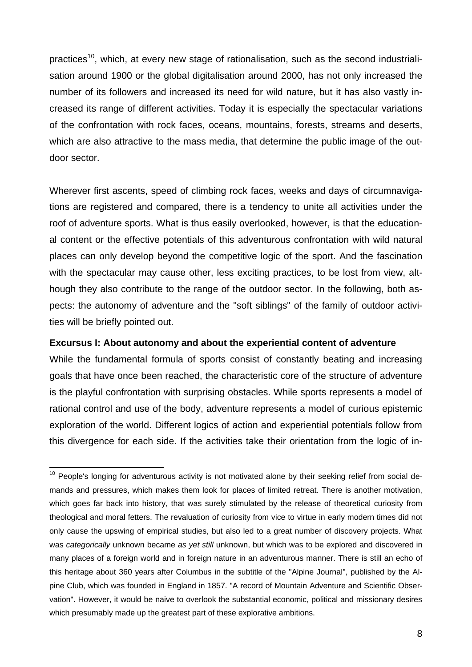practices<sup>10</sup>, which, at every new stage of rationalisation, such as the second industrialisation around 1900 or the global digitalisation around 2000, has not only increased the number of its followers and increased its need for wild nature, but it has also vastly increased its range of different activities. Today it is especially the spectacular variations of the confrontation with rock faces, oceans, mountains, forests, streams and deserts, which are also attractive to the mass media, that determine the public image of the outdoor sector.

Wherever first ascents, speed of climbing rock faces, weeks and days of circumnavigations are registered and compared, there is a tendency to unite all activities under the roof of adventure sports. What is thus easily overlooked, however, is that the educational content or the effective potentials of this adventurous confrontation with wild natural places can only develop beyond the competitive logic of the sport. And the fascination with the spectacular may cause other, less exciting practices, to be lost from view, although they also contribute to the range of the outdoor sector. In the following, both aspects: the autonomy of adventure and the "soft siblings" of the family of outdoor activities will be briefly pointed out.

## **Excursus I: About autonomy and about the experiential content of adventure**

 $\overline{a}$ 

While the fundamental formula of sports consist of constantly beating and increasing goals that have once been reached, the characteristic core of the structure of adventure is the playful confrontation with surprising obstacles. While sports represents a model of rational control and use of the body, adventure represents a model of curious epistemic exploration of the world. Different logics of action and experiential potentials follow from this divergence for each side. If the activities take their orientation from the logic of in-

 $10$  People's longing for adventurous activity is not motivated alone by their seeking relief from social demands and pressures, which makes them look for places of limited retreat. There is another motivation, which goes far back into history, that was surely stimulated by the release of theoretical curiosity from theological and moral fetters. The revaluation of curiosity from vice to virtue in early modern times did not only cause the upswing of empirical studies, but also led to a great number of discovery projects. What was *categorically* unknown became *as yet still* unknown, but which was to be explored and discovered in many places of a foreign world and in foreign nature in an adventurous manner. There is still an echo of this heritage about 360 years after Columbus in the subtitle of the "Alpine Journal", published by the Alpine Club, which was founded in England in 1857. "A record of Mountain Adventure and Scientific Observation". However, it would be naive to overlook the substantial economic, political and missionary desires which presumably made up the greatest part of these explorative ambitions.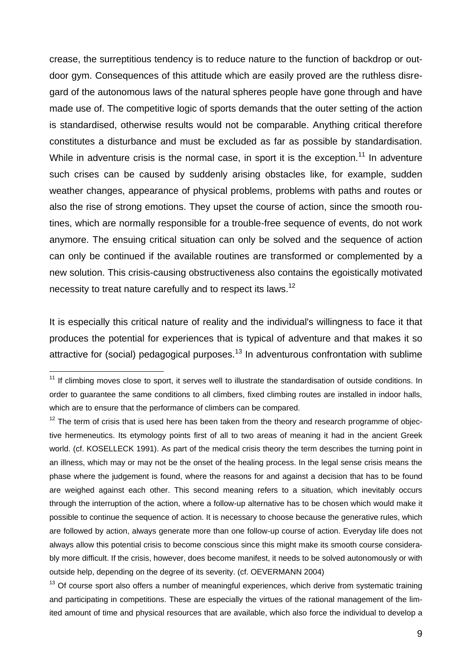crease, the surreptitious tendency is to reduce nature to the function of backdrop or outdoor gym. Consequences of this attitude which are easily proved are the ruthless disregard of the autonomous laws of the natural spheres people have gone through and have made use of. The competitive logic of sports demands that the outer setting of the action is standardised, otherwise results would not be comparable. Anything critical therefore constitutes a disturbance and must be excluded as far as possible by standardisation. While in adventure crisis is the normal case, in sport it is the exception.<sup>11</sup> In adventure such crises can be caused by suddenly arising obstacles like, for example, sudden weather changes, appearance of physical problems, problems with paths and routes or also the rise of strong emotions. They upset the course of action, since the smooth routines, which are normally responsible for a trouble-free sequence of events, do not work anymore. The ensuing critical situation can only be solved and the sequence of action can only be continued if the available routines are transformed or complemented by a new solution. This crisis-causing obstructiveness also contains the egoistically motivated necessity to treat nature carefully and to respect its laws.<sup>12</sup>

It is especially this critical nature of reality and the individual's willingness to face it that produces the potential for experiences that is typical of adventure and that makes it so attractive for (social) pedagogical purposes.<sup>13</sup> In adventurous confrontation with sublime

 $\overline{a}$ 

 $13$  Of course sport also offers a number of meaningful experiences, which derive from systematic training and participating in competitions. These are especially the virtues of the rational management of the limited amount of time and physical resources that are available, which also force the individual to develop a

 $11$  If climbing moves close to sport, it serves well to illustrate the standardisation of outside conditions. In order to guarantee the same conditions to all climbers, fixed climbing routes are installed in indoor halls, which are to ensure that the performance of climbers can be compared.

 $12$  The term of crisis that is used here has been taken from the theory and research programme of objective hermeneutics. Its etymology points first of all to two areas of meaning it had in the ancient Greek world. (cf. KOSELLECK 1991). As part of the medical crisis theory the term describes the turning point in an illness, which may or may not be the onset of the healing process. In the legal sense crisis means the phase where the judgement is found, where the reasons for and against a decision that has to be found are weighed against each other. This second meaning refers to a situation, which inevitably occurs through the interruption of the action, where a follow-up alternative has to be chosen which would make it possible to continue the sequence of action. It is necessary to choose because the generative rules, which are followed by action, always generate more than one follow-up course of action. Everyday life does not always allow this potential crisis to become conscious since this might make its smooth course considerably more difficult. If the crisis, however, does become manifest, it needs to be solved autonomously or with outside help, depending on the degree of its severity. (cf. OEVERMANN 2004)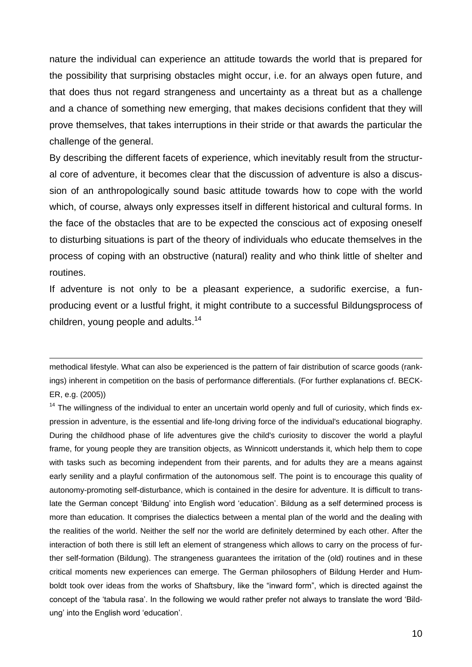nature the individual can experience an attitude towards the world that is prepared for the possibility that surprising obstacles might occur, i.e. for an always open future, and that does thus not regard strangeness and uncertainty as a threat but as a challenge and a chance of something new emerging, that makes decisions confident that they will prove themselves, that takes interruptions in their stride or that awards the particular the challenge of the general.

By describing the different facets of experience, which inevitably result from the structural core of adventure, it becomes clear that the discussion of adventure is also a discussion of an anthropologically sound basic attitude towards how to cope with the world which, of course, always only expresses itself in different historical and cultural forms. In the face of the obstacles that are to be expected the conscious act of exposing oneself to disturbing situations is part of the theory of individuals who educate themselves in the process of coping with an obstructive (natural) reality and who think little of shelter and routines.

If adventure is not only to be a pleasant experience, a sudorific exercise, a funproducing event or a lustful fright, it might contribute to a successful Bildungsprocess of children, young people and adults.<sup>14</sup>

methodical lifestyle. What can also be experienced is the pattern of fair distribution of scarce goods (rankings) inherent in competition on the basis of performance differentials. (For further explanations cf. BECK-ER, e.g. (2005))

 $\overline{a}$ 

 $14$  The willingness of the individual to enter an uncertain world openly and full of curiosity, which finds expression in adventure, is the essential and life-long driving force of the individual's educational biography. During the childhood phase of life adventures give the child's curiosity to discover the world a playful frame, for young people they are transition objects, as Winnicott understands it, which help them to cope with tasks such as becoming independent from their parents, and for adults they are a means against early senility and a playful confirmation of the autonomous self. The point is to encourage this quality of autonomy-promoting self-disturbance, which is contained in the desire for adventure. It is difficult to translate the German concept 'Bildung' into English word 'education'. Bildung as a self determined process is more than education. It comprises the dialectics between a mental plan of the world and the dealing with the realities of the world. Neither the self nor the world are definitely determined by each other. After the interaction of both there is still left an element of strangeness which allows to carry on the process of further self-formation (Bildung). The strangeness guarantees the irritation of the (old) routines and in these critical moments new experiences can emerge. The German philosophers of Bildung Herder and Humboldt took over ideas from the works of Shaftsbury, like the "inward form", which is directed against the concept of the 'tabula rasa'. In the following we would rather prefer not always to translate the word 'Bildung' into the English word 'education'.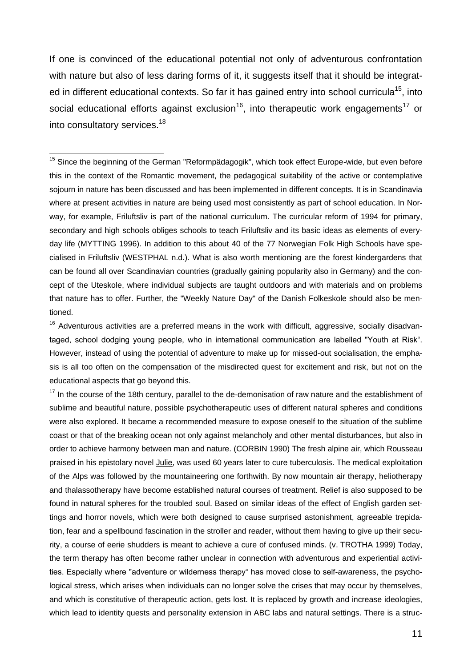If one is convinced of the educational potential not only of adventurous confrontation with nature but also of less daring forms of it, it suggests itself that it should be integrated in different educational contexts. So far it has gained entry into school curricula<sup>15</sup>, into social educational efforts against exclusion<sup>16</sup>, into therapeutic work engagements<sup>17</sup> or into consultatory services.<sup>18</sup>

 $\overline{a}$ 

<sup>15</sup> Since the beginning of the German "Reformpädagogik", which took effect Europe-wide, but even before this in the context of the Romantic movement, the pedagogical suitability of the active or contemplative sojourn in nature has been discussed and has been implemented in different concepts. It is in Scandinavia where at present activities in nature are being used most consistently as part of school education. In Norway, for example, Friluftsliv is part of the national curriculum. The curricular reform of 1994 for primary, secondary and high schools obliges schools to teach Friluftsliv and its basic ideas as elements of everyday life (MYTTING 1996). In addition to this about 40 of the 77 Norwegian Folk High Schools have specialised in Friluftsliv (WESTPHAL n.d.). What is also worth mentioning are the forest kindergardens that can be found all over Scandinavian countries (gradually gaining popularity also in Germany) and the concept of the Uteskole, where individual subjects are taught outdoors and with materials and on problems that nature has to offer. Further, the "Weekly Nature Day" of the Danish Folkeskole should also be mentioned.

<sup>16</sup> Adventurous activities are a preferred means in the work with difficult, aggressive, socially disadvantaged, school dodging young people, who in international communication are labelled "Youth at Risk". However, instead of using the potential of adventure to make up for missed-out socialisation, the emphasis is all too often on the compensation of the misdirected quest for excitement and risk, but not on the educational aspects that go beyond this.

 $17$  In the course of the 18th century, parallel to the de-demonisation of raw nature and the establishment of sublime and beautiful nature, possible psychotherapeutic uses of different natural spheres and conditions were also explored. It became a recommended measure to expose oneself to the situation of the sublime coast or that of the breaking ocean not only against melancholy and other mental disturbances, but also in order to achieve harmony between man and nature. (CORBIN 1990) The fresh alpine air, which Rousseau praised in his epistolary novel Julie, was used 60 years later to cure tuberculosis. The medical exploitation of the Alps was followed by the mountaineering one forthwith. By now mountain air therapy, heliotherapy and thalassotherapy have become established natural courses of treatment. Relief is also supposed to be found in natural spheres for the troubled soul. Based on similar ideas of the effect of English garden settings and horror novels, which were both designed to cause surprised astonishment, agreeable trepidation, fear and a spellbound fascination in the stroller and reader, without them having to give up their security, a course of eerie shudders is meant to achieve a cure of confused minds. (v. TROTHA 1999) Today, the term therapy has often become rather unclear in connection with adventurous and experiential activities. Especially where "adventure or wilderness therapy" has moved close to self-awareness, the psychological stress, which arises when individuals can no longer solve the crises that may occur by themselves, and which is constitutive of therapeutic action, gets lost. It is replaced by growth and increase ideologies, which lead to identity quests and personality extension in ABC labs and natural settings. There is a struc-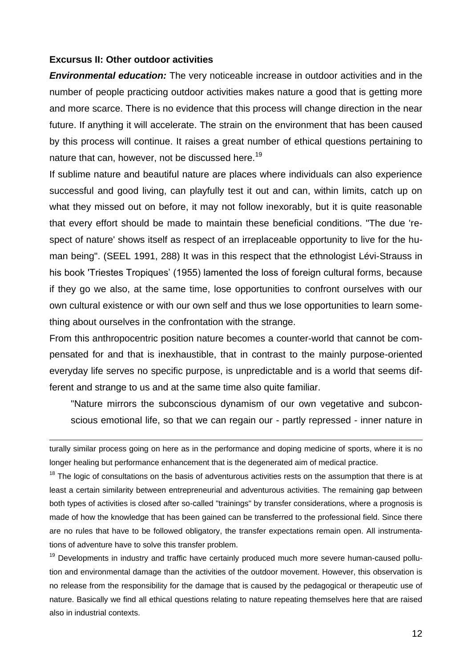#### **Excursus II: Other outdoor activities**

 $\overline{a}$ 

*Environmental education:* The very noticeable increase in outdoor activities and in the number of people practicing outdoor activities makes nature a good that is getting more and more scarce. There is no evidence that this process will change direction in the near future. If anything it will accelerate. The strain on the environment that has been caused by this process will continue. It raises a great number of ethical questions pertaining to nature that can, however, not be discussed here.<sup>19</sup>

If sublime nature and beautiful nature are places where individuals can also experience successful and good living, can playfully test it out and can, within limits, catch up on what they missed out on before, it may not follow inexorably, but it is quite reasonable that every effort should be made to maintain these beneficial conditions. "The due 'respect of nature' shows itself as respect of an irreplaceable opportunity to live for the human being". (SEEL 1991, 288) It was in this respect that the ethnologist Lévi-Strauss in his book 'Triestes Tropiques' (1955) lamented the loss of foreign cultural forms, because if they go we also, at the same time, lose opportunities to confront ourselves with our own cultural existence or with our own self and thus we lose opportunities to learn something about ourselves in the confrontation with the strange.

From this anthropocentric position nature becomes a counter-world that cannot be compensated for and that is inexhaustible, that in contrast to the mainly purpose-oriented everyday life serves no specific purpose, is unpredictable and is a world that seems different and strange to us and at the same time also quite familiar.

"Nature mirrors the subconscious dynamism of our own vegetative and subconscious emotional life, so that we can regain our - partly repressed - inner nature in

turally similar process going on here as in the performance and doping medicine of sports, where it is no longer healing but performance enhancement that is the degenerated aim of medical practice.

<sup>18</sup> The logic of consultations on the basis of adventurous activities rests on the assumption that there is at least a certain similarity between entrepreneurial and adventurous activities. The remaining gap between both types of activities is closed after so-called "trainings" by transfer considerations, where a prognosis is made of how the knowledge that has been gained can be transferred to the professional field. Since there are no rules that have to be followed obligatory, the transfer expectations remain open. All instrumentations of adventure have to solve this transfer problem.

<sup>19</sup> Developments in industry and traffic have certainly produced much more severe human-caused pollution and environmental damage than the activities of the outdoor movement. However, this observation is no release from the responsibility for the damage that is caused by the pedagogical or therapeutic use of nature. Basically we find all ethical questions relating to nature repeating themselves here that are raised also in industrial contexts.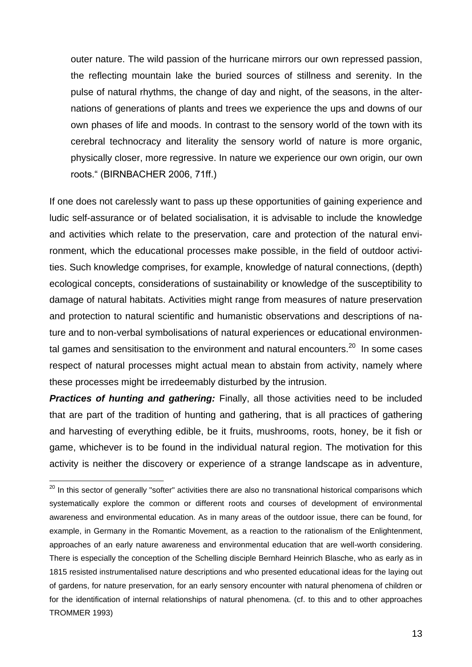outer nature. The wild passion of the hurricane mirrors our own repressed passion, the reflecting mountain lake the buried sources of stillness and serenity. In the pulse of natural rhythms, the change of day and night, of the seasons, in the alternations of generations of plants and trees we experience the ups and downs of our own phases of life and moods. In contrast to the sensory world of the town with its cerebral technocracy and literality the sensory world of nature is more organic, physically closer, more regressive. In nature we experience our own origin, our own roots." (BIRNBACHER 2006, 71ff.)

If one does not carelessly want to pass up these opportunities of gaining experience and ludic self-assurance or of belated socialisation, it is advisable to include the knowledge and activities which relate to the preservation, care and protection of the natural environment, which the educational processes make possible, in the field of outdoor activities. Such knowledge comprises, for example, knowledge of natural connections, (depth) ecological concepts, considerations of sustainability or knowledge of the susceptibility to damage of natural habitats. Activities might range from measures of nature preservation and protection to natural scientific and humanistic observations and descriptions of nature and to non-verbal symbolisations of natural experiences or educational environmental games and sensitisation to the environment and natural encounters.<sup>20</sup> In some cases respect of natural processes might actual mean to abstain from activity, namely where these processes might be irredeemably disturbed by the intrusion.

**Practices of hunting and gathering:** Finally, all those activities need to be included that are part of the tradition of hunting and gathering, that is all practices of gathering and harvesting of everything edible, be it fruits, mushrooms, roots, honey, be it fish or game, whichever is to be found in the individual natural region. The motivation for this activity is neither the discovery or experience of a strange landscape as in adventure,

<sup>&</sup>lt;sup>20</sup> In this sector of generally "softer" activities there are also no transnational historical comparisons which systematically explore the common or different roots and courses of development of environmental awareness and environmental education. As in many areas of the outdoor issue, there can be found, for example, in Germany in the Romantic Movement, as a reaction to the rationalism of the Enlightenment, approaches of an early nature awareness and environmental education that are well-worth considering. There is especially the conception of the Schelling disciple Bernhard Heinrich Blasche, who as early as in 1815 resisted instrumentalised nature descriptions and who presented educational ideas for the laying out of gardens, for nature preservation, for an early sensory encounter with natural phenomena of children or for the identification of internal relationships of natural phenomena. (cf. to this and to other approaches TROMMER 1993)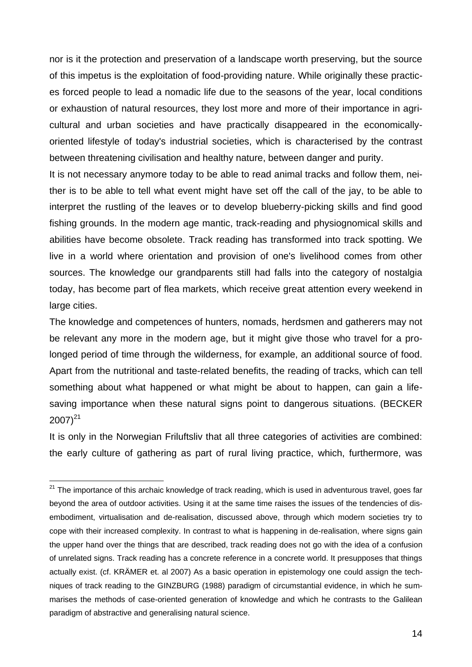nor is it the protection and preservation of a landscape worth preserving, but the source of this impetus is the exploitation of food-providing nature. While originally these practices forced people to lead a nomadic life due to the seasons of the year, local conditions or exhaustion of natural resources, they lost more and more of their importance in agricultural and urban societies and have practically disappeared in the economicallyoriented lifestyle of today's industrial societies, which is characterised by the contrast between threatening civilisation and healthy nature, between danger and purity.

It is not necessary anymore today to be able to read animal tracks and follow them, neither is to be able to tell what event might have set off the call of the jay, to be able to interpret the rustling of the leaves or to develop blueberry-picking skills and find good fishing grounds. In the modern age mantic, track-reading and physiognomical skills and abilities have become obsolete. Track reading has transformed into track spotting. We live in a world where orientation and provision of one's livelihood comes from other sources. The knowledge our grandparents still had falls into the category of nostalgia today, has become part of flea markets, which receive great attention every weekend in large cities.

The knowledge and competences of hunters, nomads, herdsmen and gatherers may not be relevant any more in the modern age, but it might give those who travel for a prolonged period of time through the wilderness, for example, an additional source of food. Apart from the nutritional and taste-related benefits, the reading of tracks, which can tell something about what happened or what might be about to happen, can gain a lifesaving importance when these natural signs point to dangerous situations. (BECKER  $2007)^{21}$ 

It is only in the Norwegian Friluftsliv that all three categories of activities are combined: the early culture of gathering as part of rural living practice, which, furthermore, was

<sup>&</sup>lt;sup>21</sup> The importance of this archaic knowledge of track reading, which is used in adventurous travel, goes far beyond the area of outdoor activities. Using it at the same time raises the issues of the tendencies of disembodiment, virtualisation and de-realisation, discussed above, through which modern societies try to cope with their increased complexity. In contrast to what is happening in de-realisation, where signs gain the upper hand over the things that are described, track reading does not go with the idea of a confusion of unrelated signs. Track reading has a concrete reference in a concrete world. It presupposes that things actually exist. (cf. KRÄMER et. al 2007) As a basic operation in epistemology one could assign the techniques of track reading to the GINZBURG (1988) paradigm of circumstantial evidence, in which he summarises the methods of case-oriented generation of knowledge and which he contrasts to the Galilean paradigm of abstractive and generalising natural science.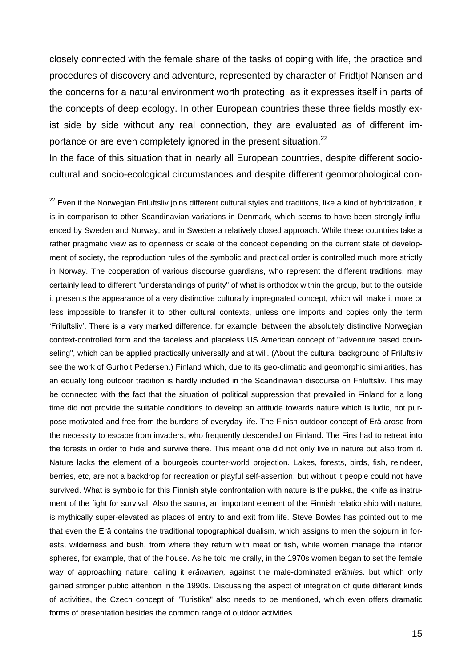closely connected with the female share of the tasks of coping with life, the practice and procedures of discovery and adventure, represented by character of Fridtjof Nansen and the concerns for a natural environment worth protecting, as it expresses itself in parts of the concepts of deep ecology. In other European countries these three fields mostly exist side by side without any real connection, they are evaluated as of different importance or are even completely ignored in the present situation.<sup>22</sup>

In the face of this situation that in nearly all European countries, despite different sociocultural and socio-ecological circumstances and despite different geomorphological con-

 $\overline{a}$  $^{22}$  Even if the Norwegian Friluftsliv joins different cultural styles and traditions, like a kind of hybridization, it is in comparison to other Scandinavian variations in Denmark, which seems to have been strongly influenced by Sweden and Norway, and in Sweden a relatively closed approach. While these countries take a rather pragmatic view as to openness or scale of the concept depending on the current state of development of society, the reproduction rules of the symbolic and practical order is controlled much more strictly in Norway. The cooperation of various discourse guardians, who represent the different traditions, may certainly lead to different "understandings of purity" of what is orthodox within the group, but to the outside it presents the appearance of a very distinctive culturally impregnated concept, which will make it more or less impossible to transfer it to other cultural contexts, unless one imports and copies only the term 'Friluftsliv'. There is a very marked difference, for example, between the absolutely distinctive Norwegian context-controlled form and the faceless and placeless US American concept of "adventure based counseling", which can be applied practically universally and at will. (About the cultural background of Friluftsliv see the work of Gurholt Pedersen.) Finland which, due to its geo-climatic and geomorphic similarities, has an equally long outdoor tradition is hardly included in the Scandinavian discourse on Friluftsliv. This may be connected with the fact that the situation of political suppression that prevailed in Finland for a long time did not provide the suitable conditions to develop an attitude towards nature which is ludic, not purpose motivated and free from the burdens of everyday life. The Finish outdoor concept of Erä arose from the necessity to escape from invaders, who frequently descended on Finland. The Fins had to retreat into the forests in order to hide and survive there. This meant one did not only live in nature but also from it. Nature lacks the element of a bourgeois counter-world projection. Lakes, forests, birds, fish, reindeer, berries, etc, are not a backdrop for recreation or playful self-assertion, but without it people could not have survived. What is symbolic for this Finnish style confrontation with nature is the pukka, the knife as instrument of the fight for survival. Also the sauna, an important element of the Finnish relationship with nature, is mythically super-elevated as places of entry to and exit from life. Steve Bowles has pointed out to me that even the Erä contains the traditional topographical dualism, which assigns to men the sojourn in forests, wilderness and bush, from where they return with meat or fish, while women manage the interior spheres, for example, that of the house. As he told me orally, in the 1970s women began to set the female way of approaching nature, calling it *eränainen,* against the male-dominated *erämies,* but which only gained stronger public attention in the 1990s. Discussing the aspect of integration of quite different kinds of activities, the Czech concept of "Turistika" also needs to be mentioned, which even offers dramatic forms of presentation besides the common range of outdoor activities.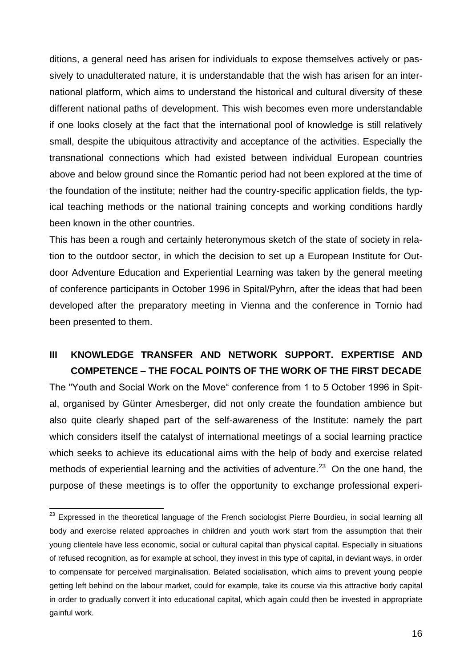ditions, a general need has arisen for individuals to expose themselves actively or passively to unadulterated nature, it is understandable that the wish has arisen for an international platform, which aims to understand the historical and cultural diversity of these different national paths of development. This wish becomes even more understandable if one looks closely at the fact that the international pool of knowledge is still relatively small, despite the ubiquitous attractivity and acceptance of the activities. Especially the transnational connections which had existed between individual European countries above and below ground since the Romantic period had not been explored at the time of the foundation of the institute; neither had the country-specific application fields, the typical teaching methods or the national training concepts and working conditions hardly been known in the other countries.

This has been a rough and certainly heteronymous sketch of the state of society in relation to the outdoor sector, in which the decision to set up a European Institute for Outdoor Adventure Education and Experiential Learning was taken by the general meeting of conference participants in October 1996 in Spital/Pyhrn, after the ideas that had been developed after the preparatory meeting in Vienna and the conference in Tornio had been presented to them.

# **III KNOWLEDGE TRANSFER AND NETWORK SUPPORT. EXPERTISE AND COMPETENCE – THE FOCAL POINTS OF THE WORK OF THE FIRST DECADE**

The "Youth and Social Work on the Move" conference from 1 to 5 October 1996 in Spital, organised by Günter Amesberger, did not only create the foundation ambience but also quite clearly shaped part of the self-awareness of the Institute: namely the part which considers itself the catalyst of international meetings of a social learning practice which seeks to achieve its educational aims with the help of body and exercise related methods of experiential learning and the activities of adventure.<sup>23</sup> On the one hand, the purpose of these meetings is to offer the opportunity to exchange professional experi-

 $^{23}$  Expressed in the theoretical language of the French sociologist Pierre Bourdieu, in social learning all body and exercise related approaches in children and youth work start from the assumption that their young clientele have less economic, social or cultural capital than physical capital. Especially in situations of refused recognition, as for example at school, they invest in this type of capital, in deviant ways, in order to compensate for perceived marginalisation. Belated socialisation, which aims to prevent young people getting left behind on the labour market, could for example, take its course via this attractive body capital in order to gradually convert it into educational capital, which again could then be invested in appropriate gainful work.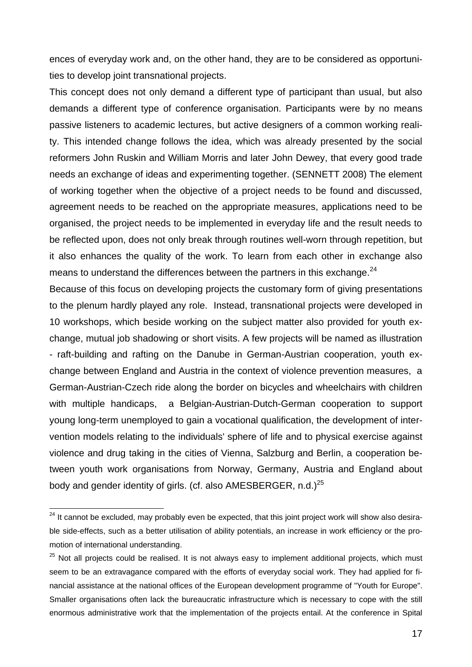ences of everyday work and, on the other hand, they are to be considered as opportunities to develop joint transnational projects.

This concept does not only demand a different type of participant than usual, but also demands a different type of conference organisation. Participants were by no means passive listeners to academic lectures, but active designers of a common working reality. This intended change follows the idea, which was already presented by the social reformers John Ruskin and William Morris and later John Dewey, that every good trade needs an exchange of ideas and experimenting together. (SENNETT 2008) The element of working together when the objective of a project needs to be found and discussed, agreement needs to be reached on the appropriate measures, applications need to be organised, the project needs to be implemented in everyday life and the result needs to be reflected upon, does not only break through routines well-worn through repetition, but it also enhances the quality of the work. To learn from each other in exchange also means to understand the differences between the partners in this exchange. $^{24}$ 

Because of this focus on developing projects the customary form of giving presentations to the plenum hardly played any role. Instead, transnational projects were developed in 10 workshops, which beside working on the subject matter also provided for youth exchange, mutual job shadowing or short visits. A few projects will be named as illustration - raft-building and rafting on the Danube in German-Austrian cooperation, youth exchange between England and Austria in the context of violence prevention measures, a German-Austrian-Czech ride along the border on bicycles and wheelchairs with children with multiple handicaps, a Belgian-Austrian-Dutch-German cooperation to support young long-term unemployed to gain a vocational qualification, the development of intervention models relating to the individuals' sphere of life and to physical exercise against violence and drug taking in the cities of Vienna, Salzburg and Berlin, a cooperation between youth work organisations from Norway, Germany, Austria and England about body and gender identity of girls. (cf. also AMESBERGER, n.d.)<sup>25</sup>

<sup>&</sup>lt;sup>24</sup> It cannot be excluded, may probably even be expected, that this joint project work will show also desirable side-effects, such as a better utilisation of ability potentials, an increase in work efficiency or the promotion of international understanding.

<sup>&</sup>lt;sup>25</sup> Not all projects could be realised. It is not always easy to implement additional projects, which must seem to be an extravagance compared with the efforts of everyday social work. They had applied for financial assistance at the national offices of the European development programme of "Youth for Europe". Smaller organisations often lack the bureaucratic infrastructure which is necessary to cope with the still enormous administrative work that the implementation of the projects entail. At the conference in Spital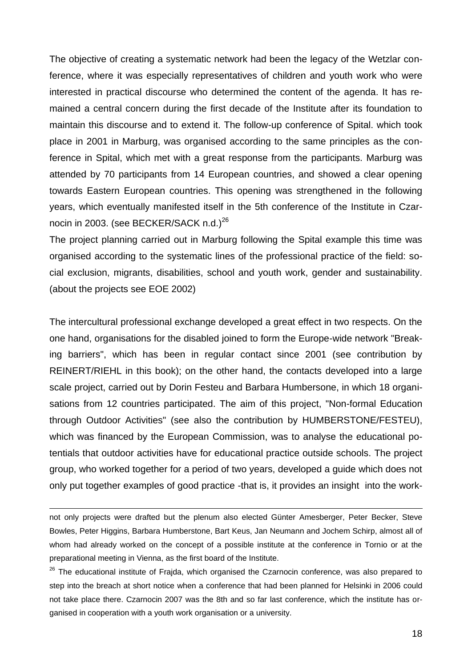The objective of creating a systematic network had been the legacy of the Wetzlar conference, where it was especially representatives of children and youth work who were interested in practical discourse who determined the content of the agenda. It has remained a central concern during the first decade of the Institute after its foundation to maintain this discourse and to extend it. The follow-up conference of Spital. which took place in 2001 in Marburg, was organised according to the same principles as the conference in Spital, which met with a great response from the participants. Marburg was attended by 70 participants from 14 European countries, and showed a clear opening towards Eastern European countries. This opening was strengthened in the following years, which eventually manifested itself in the 5th conference of the Institute in Czarnocin in 2003. (see BECKER/SACK n.d.)<sup>26</sup>

The project planning carried out in Marburg following the Spital example this time was organised according to the systematic lines of the professional practice of the field: social exclusion, migrants, disabilities, school and youth work, gender and sustainability. (about the projects see EOE 2002)

The intercultural professional exchange developed a great effect in two respects. On the one hand, organisations for the disabled joined to form the Europe-wide network "Breaking barriers", which has been in regular contact since 2001 (see contribution by REINERT/RIEHL in this book); on the other hand, the contacts developed into a large scale project, carried out by Dorin Festeu and Barbara Humbersone, in which 18 organisations from 12 countries participated. The aim of this project, "Non-formal Education through Outdoor Activities" (see also the contribution by HUMBERSTONE/FESTEU), which was financed by the European Commission, was to analyse the educational potentials that outdoor activities have for educational practice outside schools. The project group, who worked together for a period of two years, developed a guide which does not only put together examples of good practice -that is, it provides an insight into the work-

not only projects were drafted but the plenum also elected Günter Amesberger, Peter Becker, Steve Bowles, Peter Higgins, Barbara Humberstone, Bart Keus, Jan Neumann and Jochem Schirp, almost all of whom had already worked on the concept of a possible institute at the conference in Tornio or at the preparational meeting in Vienna, as the first board of the Institute.

 $\overline{a}$ 

<sup>26</sup> The educational institute of Frajda, which organised the Czarnocin conference, was also prepared to step into the breach at short notice when a conference that had been planned for Helsinki in 2006 could not take place there. Czarnocin 2007 was the 8th and so far last conference, which the institute has organised in cooperation with a youth work organisation or a university.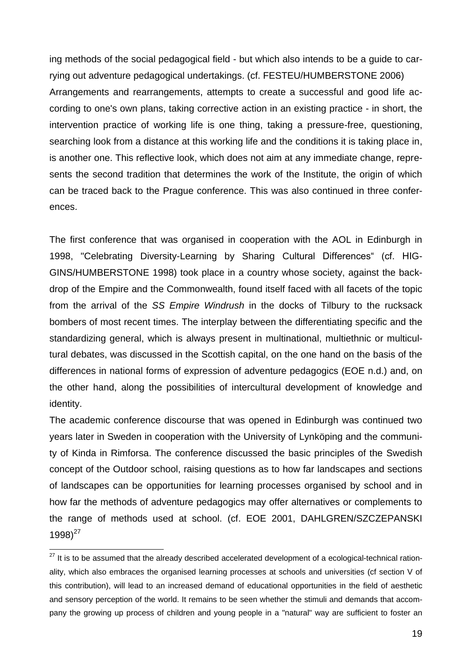ing methods of the social pedagogical field - but which also intends to be a guide to carrying out adventure pedagogical undertakings. (cf. FESTEU/HUMBERSTONE 2006) Arrangements and rearrangements, attempts to create a successful and good life according to one's own plans, taking corrective action in an existing practice - in short, the intervention practice of working life is one thing, taking a pressure-free, questioning, searching look from a distance at this working life and the conditions it is taking place in, is another one. This reflective look, which does not aim at any immediate change, represents the second tradition that determines the work of the Institute, the origin of which can be traced back to the Prague conference. This was also continued in three conferences.

The first conference that was organised in cooperation with the AOL in Edinburgh in 1998, "Celebrating Diversity-Learning by Sharing Cultural Differences" (cf. HIG-GINS/HUMBERSTONE 1998) took place in a country whose society, against the backdrop of the Empire and the Commonwealth, found itself faced with all facets of the topic from the arrival of the *SS Empire Windrush* in the docks of Tilbury to the rucksack bombers of most recent times. The interplay between the differentiating specific and the standardizing general, which is always present in multinational, multiethnic or multicultural debates, was discussed in the Scottish capital, on the one hand on the basis of the differences in national forms of expression of adventure pedagogics (EOE n.d.) and, on the other hand, along the possibilities of intercultural development of knowledge and identity.

The academic conference discourse that was opened in Edinburgh was continued two years later in Sweden in cooperation with the University of Lynköping and the community of Kinda in Rimforsa. The conference discussed the basic principles of the Swedish concept of the Outdoor school, raising questions as to how far landscapes and sections of landscapes can be opportunities for learning processes organised by school and in how far the methods of adventure pedagogics may offer alternatives or complements to the range of methods used at school. (cf. EOE 2001, DAHLGREN/SZCZEPANSKI  $1998$ <sup>27</sup>

<sup>&</sup>lt;sup>27</sup> It is to be assumed that the already described accelerated development of a ecological-technical rationality, which also embraces the organised learning processes at schools and universities (cf section V of this contribution), will lead to an increased demand of educational opportunities in the field of aesthetic and sensory perception of the world. It remains to be seen whether the stimuli and demands that accompany the growing up process of children and young people in a "natural" way are sufficient to foster an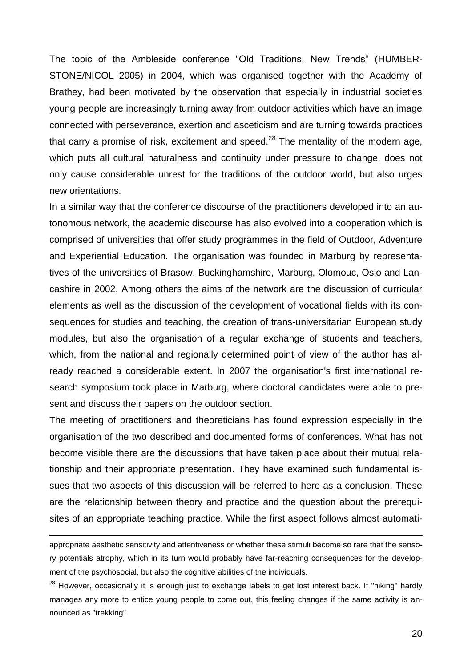The topic of the Ambleside conference "Old Traditions, New Trends" (HUMBER-STONE/NICOL 2005) in 2004, which was organised together with the Academy of Brathey, had been motivated by the observation that especially in industrial societies young people are increasingly turning away from outdoor activities which have an image connected with perseverance, exertion and asceticism and are turning towards practices that carry a promise of risk, excitement and speed.<sup>28</sup> The mentality of the modern age, which puts all cultural naturalness and continuity under pressure to change, does not only cause considerable unrest for the traditions of the outdoor world, but also urges new orientations.

In a similar way that the conference discourse of the practitioners developed into an autonomous network, the academic discourse has also evolved into a cooperation which is comprised of universities that offer study programmes in the field of Outdoor, Adventure and Experiential Education. The organisation was founded in Marburg by representatives of the universities of Brasow, Buckinghamshire, Marburg, Olomouc, Oslo and Lancashire in 2002. Among others the aims of the network are the discussion of curricular elements as well as the discussion of the development of vocational fields with its consequences for studies and teaching, the creation of trans-universitarian European study modules, but also the organisation of a regular exchange of students and teachers, which, from the national and regionally determined point of view of the author has already reached a considerable extent. In 2007 the organisation's first international research symposium took place in Marburg, where doctoral candidates were able to present and discuss their papers on the outdoor section.

The meeting of practitioners and theoreticians has found expression especially in the organisation of the two described and documented forms of conferences. What has not become visible there are the discussions that have taken place about their mutual relationship and their appropriate presentation. They have examined such fundamental issues that two aspects of this discussion will be referred to here as a conclusion. These are the relationship between theory and practice and the question about the prerequisites of an appropriate teaching practice. While the first aspect follows almost automati-

appropriate aesthetic sensitivity and attentiveness or whether these stimuli become so rare that the sensory potentials atrophy, which in its turn would probably have far-reaching consequences for the development of the psychosocial, but also the cognitive abilities of the individuals.

<sup>&</sup>lt;sup>28</sup> However, occasionally it is enough just to exchange labels to get lost interest back. If "hiking" hardly manages any more to entice young people to come out, this feeling changes if the same activity is announced as "trekking".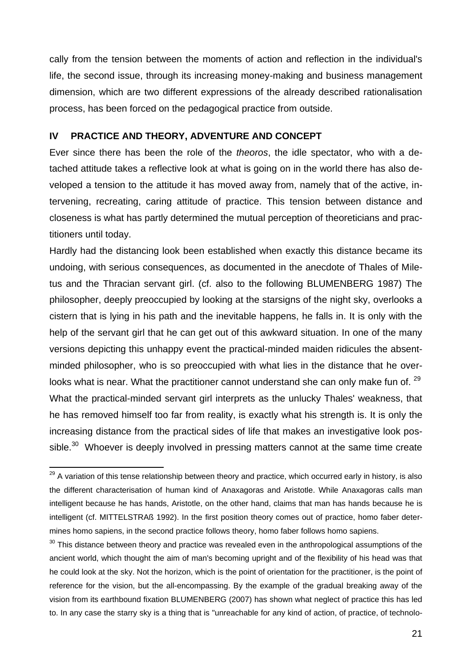cally from the tension between the moments of action and reflection in the individual's life, the second issue, through its increasing money-making and business management dimension, which are two different expressions of the already described rationalisation process, has been forced on the pedagogical practice from outside.

## **IV PRACTICE AND THEORY, ADVENTURE AND CONCEPT**

Ever since there has been the role of the *theoros*, the idle spectator, who with a detached attitude takes a reflective look at what is going on in the world there has also developed a tension to the attitude it has moved away from, namely that of the active, intervening, recreating, caring attitude of practice. This tension between distance and closeness is what has partly determined the mutual perception of theoreticians and practitioners until today.

Hardly had the distancing look been established when exactly this distance became its undoing, with serious consequences, as documented in the anecdote of Thales of Miletus and the Thracian servant girl. (cf. also to the following BLUMENBERG 1987) The philosopher, deeply preoccupied by looking at the starsigns of the night sky, overlooks a cistern that is lying in his path and the inevitable happens, he falls in. It is only with the help of the servant girl that he can get out of this awkward situation. In one of the many versions depicting this unhappy event the practical-minded maiden ridicules the absentminded philosopher, who is so preoccupied with what lies in the distance that he overlooks what is near. What the practitioner cannot understand she can only make fun of. <sup>29</sup> What the practical-minded servant girl interprets as the unlucky Thales' weakness, that he has removed himself too far from reality, is exactly what his strength is. It is only the increasing distance from the practical sides of life that makes an investigative look possible. $30$  Whoever is deeply involved in pressing matters cannot at the same time create

 $^{29}$  A variation of this tense relationship between theory and practice, which occurred early in history, is also the different characterisation of human kind of Anaxagoras and Aristotle. While Anaxagoras calls man intelligent because he has hands, Aristotle, on the other hand, claims that man has hands because he is intelligent (cf. MITTELSTRAß 1992). In the first position theory comes out of practice, homo faber determines homo sapiens, in the second practice follows theory, homo faber follows homo sapiens.

 $30$  This distance between theory and practice was revealed even in the anthropological assumptions of the ancient world, which thought the aim of man's becoming upright and of the flexibility of his head was that he could look at the sky. Not the horizon, which is the point of orientation for the practitioner, is the point of reference for the vision, but the all-encompassing. By the example of the gradual breaking away of the vision from its earthbound fixation BLUMENBERG (2007) has shown what neglect of practice this has led to. In any case the starry sky is a thing that is "unreachable for any kind of action, of practice, of technolo-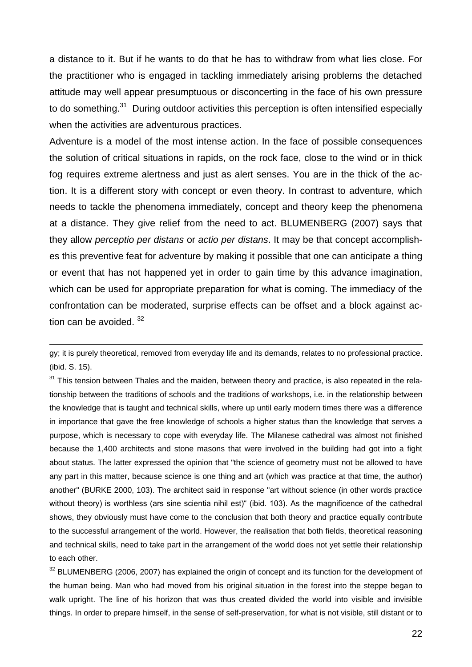a distance to it. But if he wants to do that he has to withdraw from what lies close. For the practitioner who is engaged in tackling immediately arising problems the detached attitude may well appear presumptuous or disconcerting in the face of his own pressure to do something.<sup>31</sup> During outdoor activities this perception is often intensified especially when the activities are adventurous practices.

Adventure is a model of the most intense action. In the face of possible consequences the solution of critical situations in rapids, on the rock face, close to the wind or in thick fog requires extreme alertness and just as alert senses. You are in the thick of the action. It is a different story with concept or even theory. In contrast to adventure, which needs to tackle the phenomena immediately, concept and theory keep the phenomena at a distance. They give relief from the need to act. BLUMENBERG (2007) says that they allow *perceptio per distans* or *actio per distans*. It may be that concept accomplishes this preventive feat for adventure by making it possible that one can anticipate a thing or event that has not happened yet in order to gain time by this advance imagination, which can be used for appropriate preparation for what is coming. The immediacy of the confrontation can be moderated, surprise effects can be offset and a block against action can be avoided.  $32$ 

 $\overline{a}$ 

<sup>31</sup> This tension between Thales and the maiden, between theory and practice, is also repeated in the relationship between the traditions of schools and the traditions of workshops, i.e. in the relationship between the knowledge that is taught and technical skills, where up until early modern times there was a difference in importance that gave the free knowledge of schools a higher status than the knowledge that serves a purpose, which is necessary to cope with everyday life. The Milanese cathedral was almost not finished because the 1,400 architects and stone masons that were involved in the building had got into a fight about status. The latter expressed the opinion that "the science of geometry must not be allowed to have any part in this matter, because science is one thing and art (which was practice at that time, the author) another" (BURKE 2000, 103). The architect said in response "art without science (in other words practice without theory) is worthless (ars sine scientia nihil est)" (ibid. 103). As the magnificence of the cathedral shows, they obviously must have come to the conclusion that both theory and practice equally contribute to the successful arrangement of the world. However, the realisation that both fields, theoretical reasoning and technical skills, need to take part in the arrangement of the world does not yet settle their relationship to each other.

<sup>32</sup> BLUMENBERG (2006, 2007) has explained the origin of concept and its function for the development of the human being. Man who had moved from his original situation in the forest into the steppe began to walk upright. The line of his horizon that was thus created divided the world into visible and invisible things. In order to prepare himself, in the sense of self-preservation, for what is not visible, still distant or to

gy; it is purely theoretical, removed from everyday life and its demands, relates to no professional practice. (ibid. S. 15).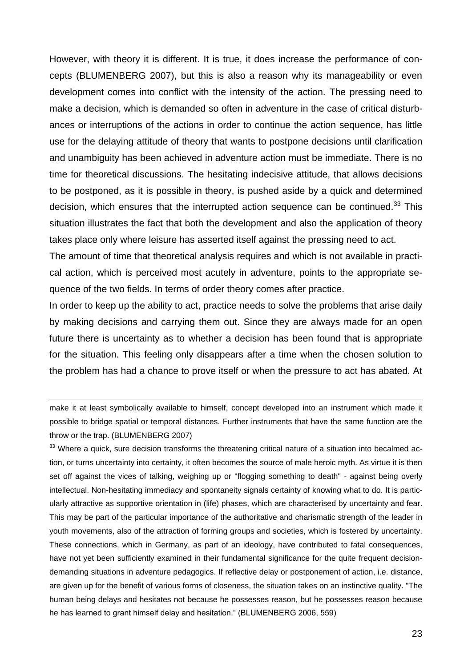However, with theory it is different. It is true, it does increase the performance of concepts (BLUMENBERG 2007), but this is also a reason why its manageability or even development comes into conflict with the intensity of the action. The pressing need to make a decision, which is demanded so often in adventure in the case of critical disturbances or interruptions of the actions in order to continue the action sequence, has little use for the delaying attitude of theory that wants to postpone decisions until clarification and unambiguity has been achieved in adventure action must be immediate. There is no time for theoretical discussions. The hesitating indecisive attitude, that allows decisions to be postponed, as it is possible in theory, is pushed aside by a quick and determined decision, which ensures that the interrupted action sequence can be continued. $33$  This situation illustrates the fact that both the development and also the application of theory takes place only where leisure has asserted itself against the pressing need to act.

The amount of time that theoretical analysis requires and which is not available in practical action, which is perceived most acutely in adventure, points to the appropriate sequence of the two fields. In terms of order theory comes after practice.

In order to keep up the ability to act, practice needs to solve the problems that arise daily by making decisions and carrying them out. Since they are always made for an open future there is uncertainty as to whether a decision has been found that is appropriate for the situation. This feeling only disappears after a time when the chosen solution to the problem has had a chance to prove itself or when the pressure to act has abated. At

make it at least symbolically available to himself, concept developed into an instrument which made it possible to bridge spatial or temporal distances. Further instruments that have the same function are the throw or the trap. (BLUMENBERG 2007)

 $\overline{a}$ 

<sup>33</sup> Where a quick, sure decision transforms the threatening critical nature of a situation into becalmed action, or turns uncertainty into certainty, it often becomes the source of male heroic myth. As virtue it is then set off against the vices of talking, weighing up or "flogging something to death" - against being overly intellectual. Non-hesitating immediacy and spontaneity signals certainty of knowing what to do. It is particularly attractive as supportive orientation in (life) phases, which are characterised by uncertainty and fear. This may be part of the particular importance of the authoritative and charismatic strength of the leader in youth movements, also of the attraction of forming groups and societies, which is fostered by uncertainty. These connections, which in Germany, as part of an ideology, have contributed to fatal consequences, have not yet been sufficiently examined in their fundamental significance for the quite frequent decisiondemanding situations in adventure pedagogics. If reflective delay or postponement of action, i.e. distance, are given up for the benefit of various forms of closeness, the situation takes on an instinctive quality. "The human being delays and hesitates not because he possesses reason, but he possesses reason because he has learned to grant himself delay and hesitation." (BLUMENBERG 2006, 559)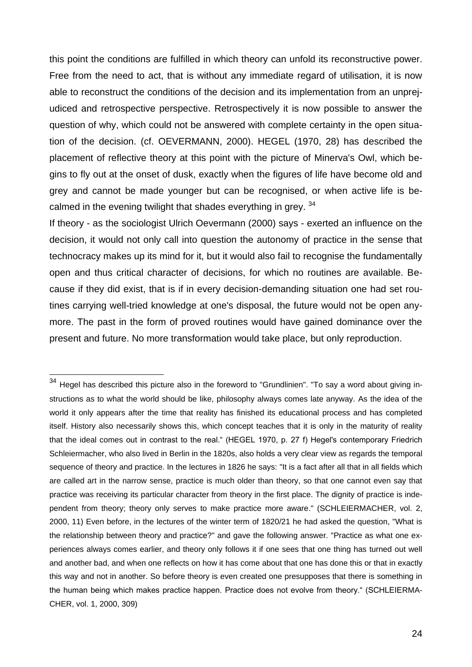this point the conditions are fulfilled in which theory can unfold its reconstructive power. Free from the need to act, that is without any immediate regard of utilisation, it is now able to reconstruct the conditions of the decision and its implementation from an unprejudiced and retrospective perspective. Retrospectively it is now possible to answer the question of why, which could not be answered with complete certainty in the open situation of the decision. (cf. OEVERMANN, 2000). HEGEL (1970, 28) has described the placement of reflective theory at this point with the picture of Minerva's Owl, which begins to fly out at the onset of dusk, exactly when the figures of life have become old and grey and cannot be made younger but can be recognised, or when active life is becalmed in the evening twilight that shades everything in grey. <sup>34</sup>

If theory - as the sociologist Ulrich Oevermann (2000) says - exerted an influence on the decision, it would not only call into question the autonomy of practice in the sense that technocracy makes up its mind for it, but it would also fail to recognise the fundamentally open and thus critical character of decisions, for which no routines are available. Because if they did exist, that is if in every decision-demanding situation one had set routines carrying well-tried knowledge at one's disposal, the future would not be open anymore. The past in the form of proved routines would have gained dominance over the present and future. No more transformation would take place, but only reproduction.

 $34$  Hegel has described this picture also in the foreword to "Grundlinien". "To say a word about giving instructions as to what the world should be like, philosophy always comes late anyway. As the idea of the world it only appears after the time that reality has finished its educational process and has completed itself. History also necessarily shows this, which concept teaches that it is only in the maturity of reality that the ideal comes out in contrast to the real." (HEGEL 1970, p. 27 f) Hegel's contemporary Friedrich Schleiermacher, who also lived in Berlin in the 1820s, also holds a very clear view as regards the temporal sequence of theory and practice. In the lectures in 1826 he says: "It is a fact after all that in all fields which are called art in the narrow sense, practice is much older than theory, so that one cannot even say that practice was receiving its particular character from theory in the first place. The dignity of practice is independent from theory; theory only serves to make practice more aware." (SCHLEIERMACHER, vol. 2, 2000, 11) Even before, in the lectures of the winter term of 1820/21 he had asked the question, "What is the relationship between theory and practice?" and gave the following answer. "Practice as what one experiences always comes earlier, and theory only follows it if one sees that one thing has turned out well and another bad, and when one reflects on how it has come about that one has done this or that in exactly this way and not in another. So before theory is even created one presupposes that there is something in the human being which makes practice happen. Practice does not evolve from theory." (SCHLEIERMA-CHER, vol. 1, 2000, 309)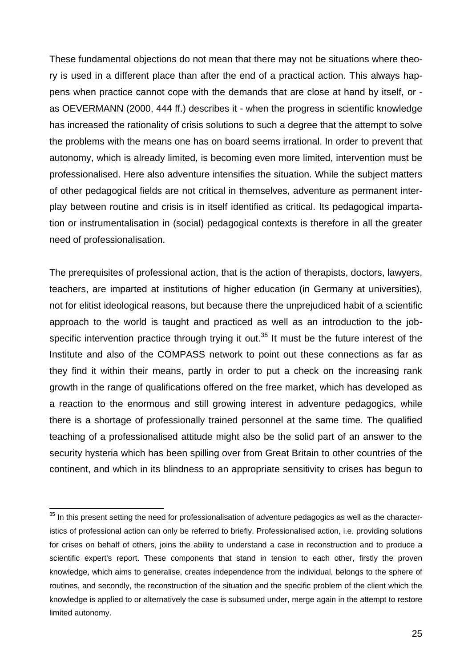These fundamental objections do not mean that there may not be situations where theory is used in a different place than after the end of a practical action. This always happens when practice cannot cope with the demands that are close at hand by itself, or as OEVERMANN (2000, 444 ff.) describes it - when the progress in scientific knowledge has increased the rationality of crisis solutions to such a degree that the attempt to solve the problems with the means one has on board seems irrational. In order to prevent that autonomy, which is already limited, is becoming even more limited, intervention must be professionalised. Here also adventure intensifies the situation. While the subject matters of other pedagogical fields are not critical in themselves, adventure as permanent interplay between routine and crisis is in itself identified as critical. Its pedagogical impartation or instrumentalisation in (social) pedagogical contexts is therefore in all the greater need of professionalisation.

The prerequisites of professional action, that is the action of therapists, doctors, lawyers, teachers, are imparted at institutions of higher education (in Germany at universities), not for elitist ideological reasons, but because there the unprejudiced habit of a scientific approach to the world is taught and practiced as well as an introduction to the jobspecific intervention practice through trying it out.<sup>35</sup> It must be the future interest of the Institute and also of the COMPASS network to point out these connections as far as they find it within their means, partly in order to put a check on the increasing rank growth in the range of qualifications offered on the free market, which has developed as a reaction to the enormous and still growing interest in adventure pedagogics, while there is a shortage of professionally trained personnel at the same time. The qualified teaching of a professionalised attitude might also be the solid part of an answer to the security hysteria which has been spilling over from Great Britain to other countries of the continent, and which in its blindness to an appropriate sensitivity to crises has begun to

 $35$  In this present setting the need for professionalisation of adventure pedagogics as well as the characteristics of professional action can only be referred to briefly. Professionalised action, i.e. providing solutions for crises on behalf of others, joins the ability to understand a case in reconstruction and to produce a scientific expert's report. These components that stand in tension to each other, firstly the proven knowledge, which aims to generalise, creates independence from the individual, belongs to the sphere of routines, and secondly, the reconstruction of the situation and the specific problem of the client which the knowledge is applied to or alternatively the case is subsumed under, merge again in the attempt to restore limited autonomy.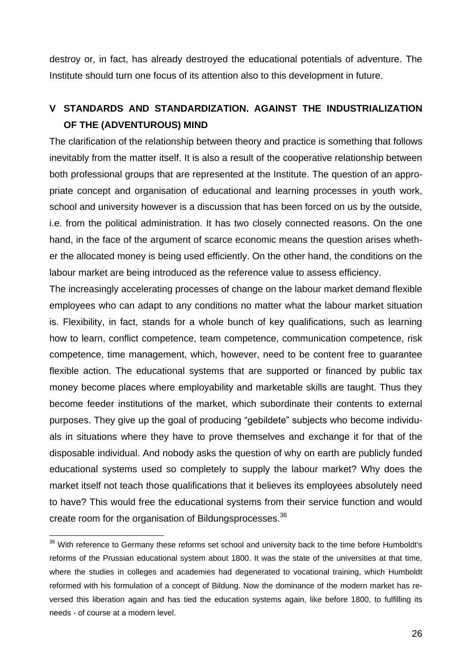destroy or, in fact, has already destroyed the educational potentials of adventure. The Institute should turn one focus of its attention also to this development in future.

# **V STANDARDS AND STANDARDIZATION. AGAINST THE INDUSTRIALIZATION OF THE (ADVENTUROUS) MIND**

The clarification of the relationship between theory and practice is something that follows inevitably from the matter itself. It is also a result of the cooperative relationship between both professional groups that are represented at the Institute. The question of an appropriate concept and organisation of educational and learning processes in youth work, school and university however is a discussion that has been forced on us by the outside, i.e. from the political administration. It has two closely connected reasons. On the one hand, in the face of the argument of scarce economic means the question arises whether the allocated money is being used efficiently. On the other hand, the conditions on the labour market are being introduced as the reference value to assess efficiency.

The increasingly accelerating processes of change on the labour market demand flexible employees who can adapt to any conditions no matter what the labour market situation is. Flexibility, in fact, stands for a whole bunch of key qualifications, such as learning how to learn, conflict competence, team competence, communication competence, risk competence, time management, which, however, need to be content free to guarantee flexible action. The educational systems that are supported or financed by public tax money become places where employability and marketable skills are taught. Thus they become feeder institutions of the market, which subordinate their contents to external purposes. They give up the goal of producing "gebildete" subjects who become individuals in situations where they have to prove themselves and exchange it for that of the disposable individual. And nobody asks the question of why on earth are publicly funded educational systems used so completely to supply the labour market? Why does the market itself not teach those qualifications that it believes its employees absolutely need to have? This would free the educational systems from their service function and would create room for the organisation of Bildungsprocesses.<sup>36</sup>

 $36$  With reference to Germany these reforms set school and university back to the time before Humboldt's reforms of the Prussian educational system about 1800. It was the state of the universities at that time, where the studies in colleges and academies had degenerated to vocational training, which Humboldt reformed with his formulation of a concept of Bildung. Now the dominance of the modern market has reversed this liberation again and has tied the education systems again, like before 1800, to fulfilling its needs - of course at a modern level.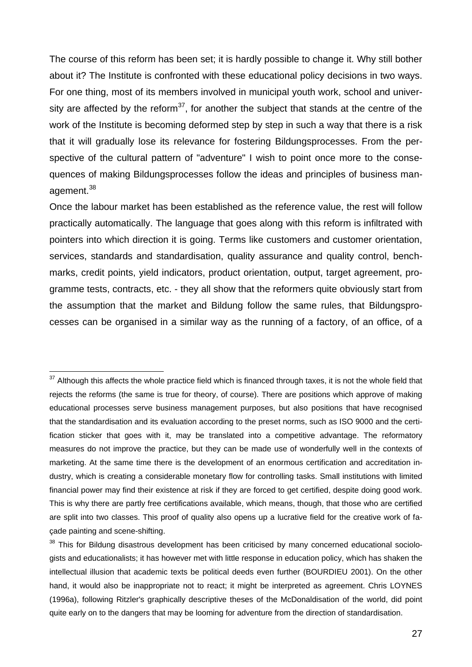The course of this reform has been set; it is hardly possible to change it. Why still bother about it? The Institute is confronted with these educational policy decisions in two ways. For one thing, most of its members involved in municipal youth work, school and university are affected by the reform<sup>37</sup>, for another the subject that stands at the centre of the work of the Institute is becoming deformed step by step in such a way that there is a risk that it will gradually lose its relevance for fostering Bildungsprocesses. From the perspective of the cultural pattern of "adventure" I wish to point once more to the consequences of making Bildungsprocesses follow the ideas and principles of business management.<sup>38</sup>

Once the labour market has been established as the reference value, the rest will follow practically automatically. The language that goes along with this reform is infiltrated with pointers into which direction it is going. Terms like customers and customer orientation, services, standards and standardisation, quality assurance and quality control, benchmarks, credit points, yield indicators, product orientation, output, target agreement, programme tests, contracts, etc. - they all show that the reformers quite obviously start from the assumption that the market and Bildung follow the same rules, that Bildungsprocesses can be organised in a similar way as the running of a factory, of an office, of a

 $37$  Although this affects the whole practice field which is financed through taxes, it is not the whole field that rejects the reforms (the same is true for theory, of course). There are positions which approve of making educational processes serve business management purposes, but also positions that have recognised that the standardisation and its evaluation according to the preset norms, such as ISO 9000 and the certification sticker that goes with it, may be translated into a competitive advantage. The reformatory measures do not improve the practice, but they can be made use of wonderfully well in the contexts of marketing. At the same time there is the development of an enormous certification and accreditation industry, which is creating a considerable monetary flow for controlling tasks. Small institutions with limited financial power may find their existence at risk if they are forced to get certified, despite doing good work. This is why there are partly free certifications available, which means, though, that those who are certified are split into two classes. This proof of quality also opens up a lucrative field for the creative work of façade painting and scene-shifting.

<sup>&</sup>lt;sup>38</sup> This for Bildung disastrous development has been criticised by many concerned educational sociologists and educationalists; it has however met with little response in education policy, which has shaken the intellectual illusion that academic texts be political deeds even further (BOURDIEU 2001). On the other hand, it would also be inappropriate not to react; it might be interpreted as agreement. Chris LOYNES (1996a), following Ritzler's graphically descriptive theses of the McDonaldisation of the world, did point quite early on to the dangers that may be looming for adventure from the direction of standardisation.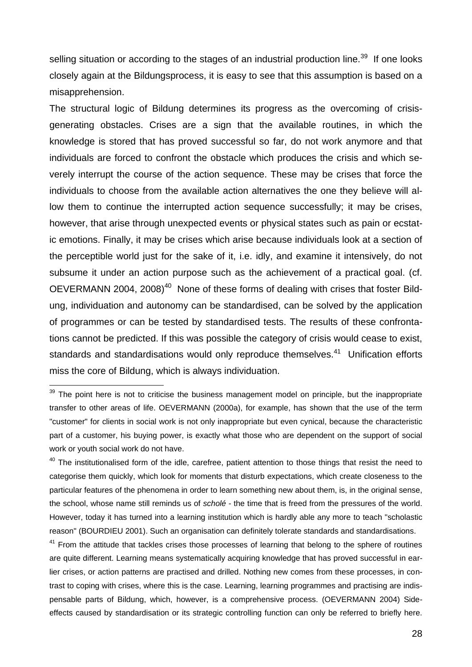selling situation or according to the stages of an industrial production line.<sup>39</sup> If one looks closely again at the Bildungsprocess, it is easy to see that this assumption is based on a misapprehension.

The structural logic of Bildung determines its progress as the overcoming of crisisgenerating obstacles. Crises are a sign that the available routines, in which the knowledge is stored that has proved successful so far, do not work anymore and that individuals are forced to confront the obstacle which produces the crisis and which severely interrupt the course of the action sequence. These may be crises that force the individuals to choose from the available action alternatives the one they believe will allow them to continue the interrupted action sequence successfully; it may be crises, however, that arise through unexpected events or physical states such as pain or ecstatic emotions. Finally, it may be crises which arise because individuals look at a section of the perceptible world just for the sake of it, i.e. idly, and examine it intensively, do not subsume it under an action purpose such as the achievement of a practical goal. (cf. OEVERMANN 2004, 2008)<sup>40</sup> None of these forms of dealing with crises that foster Bildung, individuation and autonomy can be standardised, can be solved by the application of programmes or can be tested by standardised tests. The results of these confrontations cannot be predicted. If this was possible the category of crisis would cease to exist, standards and standardisations would only reproduce themselves.<sup>41</sup> Unification efforts miss the core of Bildung, which is always individuation.

 $\overline{a}$ 

<sup>41</sup> From the attitude that tackles crises those processes of learning that belong to the sphere of routines are quite different. Learning means systematically acquiring knowledge that has proved successful in earlier crises, or action patterns are practised and drilled. Nothing new comes from these processes, in contrast to coping with crises, where this is the case. Learning, learning programmes and practising are indispensable parts of Bildung, which, however, is a comprehensive process. (OEVERMANN 2004) Sideeffects caused by standardisation or its strategic controlling function can only be referred to briefly here.

 $39$  The point here is not to criticise the business management model on principle, but the inappropriate transfer to other areas of life. OEVERMANN (2000a), for example, has shown that the use of the term "customer" for clients in social work is not only inappropriate but even cynical, because the characteristic part of a customer, his buying power, is exactly what those who are dependent on the support of social work or youth social work do not have.

<sup>&</sup>lt;sup>40</sup> The institutionalised form of the idle, carefree, patient attention to those things that resist the need to categorise them quickly, which look for moments that disturb expectations, which create closeness to the particular features of the phenomena in order to learn something new about them, is, in the original sense, the school, whose name still reminds us of *scholé* - the time that is freed from the pressures of the world. However, today it has turned into a learning institution which is hardly able any more to teach "scholastic reason" (BOURDIEU 2001). Such an organisation can definitely tolerate standards and standardisations.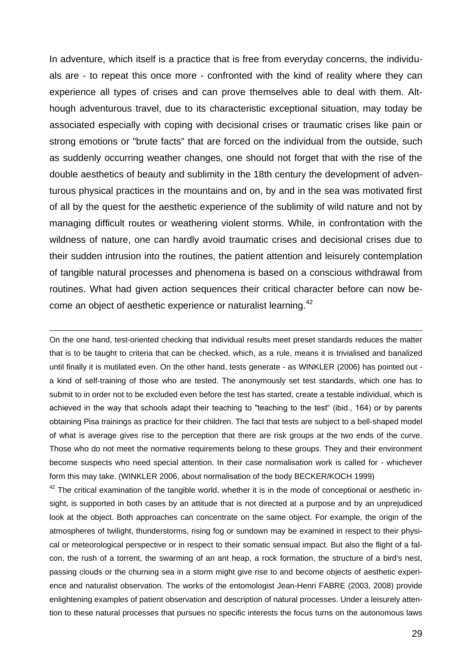In adventure, which itself is a practice that is free from everyday concerns, the individuals are - to repeat this once more - confronted with the kind of reality where they can experience all types of crises and can prove themselves able to deal with them. Although adventurous travel, due to its characteristic exceptional situation, may today be associated especially with coping with decisional crises or traumatic crises like pain or strong emotions or "brute facts" that are forced on the individual from the outside, such as suddenly occurring weather changes, one should not forget that with the rise of the double aesthetics of beauty and sublimity in the 18th century the development of adventurous physical practices in the mountains and on, by and in the sea was motivated first of all by the quest for the aesthetic experience of the sublimity of wild nature and not by managing difficult routes or weathering violent storms. While, in confrontation with the wildness of nature, one can hardly avoid traumatic crises and decisional crises due to their sudden intrusion into the routines, the patient attention and leisurely contemplation of tangible natural processes and phenomena is based on a conscious withdrawal from routines. What had given action sequences their critical character before can now become an object of aesthetic experience or naturalist learning.<sup>42</sup>

On the one hand, test-oriented checking that individual results meet preset standards reduces the matter that is to be taught to criteria that can be checked, which, as a rule, means it is trivialised and banalized until finally it is mutilated even. On the other hand, tests generate - as WINKLER (2006) has pointed out a kind of self-training of those who are tested. The anonymously set test standards, which one has to submit to in order not to be excluded even before the test has started, create a testable individual, which is achieved in the way that schools adapt their teaching to "teaching to the test" (ibid., 164) or by parents obtaining Pisa trainings as practice for their children. The fact that tests are subject to a bell-shaped model of what is average gives rise to the perception that there are risk groups at the two ends of the curve. Those who do not meet the normative requirements belong to these groups. They and their environment become suspects who need special attention. In their case normalisation work is called for - whichever form this may take. (WINKLER 2006, about normalisation of the body BECKER/KOCH 1999)

 $\overline{a}$ 

<sup>42</sup> The critical examination of the tangible world, whether it is in the mode of conceptional or aesthetic insight, is supported in both cases by an attitude that is not directed at a purpose and by an unprejudiced look at the object. Both approaches can concentrate on the same object. For example, the origin of the atmospheres of twilight, thunderstorms, rising fog or sundown may be examined in respect to their physical or meteorological perspective or in respect to their somatic sensual impact. But also the flight of a falcon, the rush of a torrent, the swarming of an ant heap, a rock formation, the structure of a bird's nest, passing clouds or the churning sea in a storm might give rise to and become objects of aesthetic experience and naturalist observation. The works of the entomologist Jean-Henri FABRE (2003, 2008) provide enlightening examples of patient observation and description of natural processes. Under a leisurely attention to these natural processes that pursues no specific interests the focus turns on the autonomous laws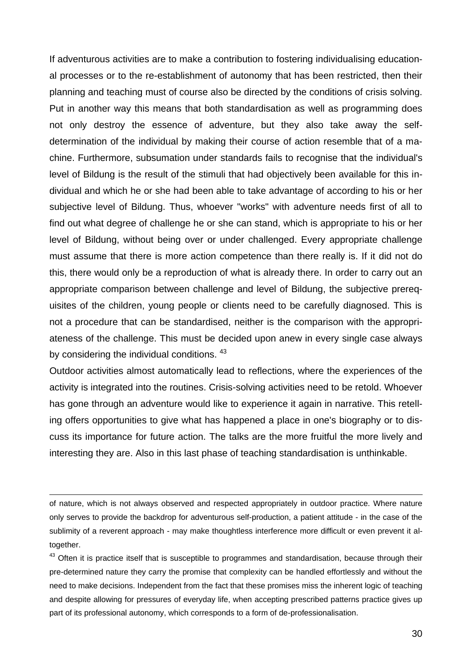If adventurous activities are to make a contribution to fostering individualising educational processes or to the re-establishment of autonomy that has been restricted, then their planning and teaching must of course also be directed by the conditions of crisis solving. Put in another way this means that both standardisation as well as programming does not only destroy the essence of adventure, but they also take away the selfdetermination of the individual by making their course of action resemble that of a machine. Furthermore, subsumation under standards fails to recognise that the individual's level of Bildung is the result of the stimuli that had objectively been available for this individual and which he or she had been able to take advantage of according to his or her subjective level of Bildung. Thus, whoever "works" with adventure needs first of all to find out what degree of challenge he or she can stand, which is appropriate to his or her level of Bildung, without being over or under challenged. Every appropriate challenge must assume that there is more action competence than there really is. If it did not do this, there would only be a reproduction of what is already there. In order to carry out an appropriate comparison between challenge and level of Bildung, the subjective prerequisites of the children, young people or clients need to be carefully diagnosed. This is not a procedure that can be standardised, neither is the comparison with the appropriateness of the challenge. This must be decided upon anew in every single case always by considering the individual conditions. <sup>43</sup>

Outdoor activities almost automatically lead to reflections, where the experiences of the activity is integrated into the routines. Crisis-solving activities need to be retold. Whoever has gone through an adventure would like to experience it again in narrative. This retelling offers opportunities to give what has happened a place in one's biography or to discuss its importance for future action. The talks are the more fruitful the more lively and interesting they are. Also in this last phase of teaching standardisation is unthinkable.

of nature, which is not always observed and respected appropriately in outdoor practice. Where nature only serves to provide the backdrop for adventurous self-production, a patient attitude - in the case of the sublimity of a reverent approach - may make thoughtless interference more difficult or even prevent it altogether.

 $\overline{a}$ 

<sup>43</sup> Often it is practice itself that is susceptible to programmes and standardisation, because through their pre-determined nature they carry the promise that complexity can be handled effortlessly and without the need to make decisions. Independent from the fact that these promises miss the inherent logic of teaching and despite allowing for pressures of everyday life, when accepting prescribed patterns practice gives up part of its professional autonomy, which corresponds to a form of de-professionalisation.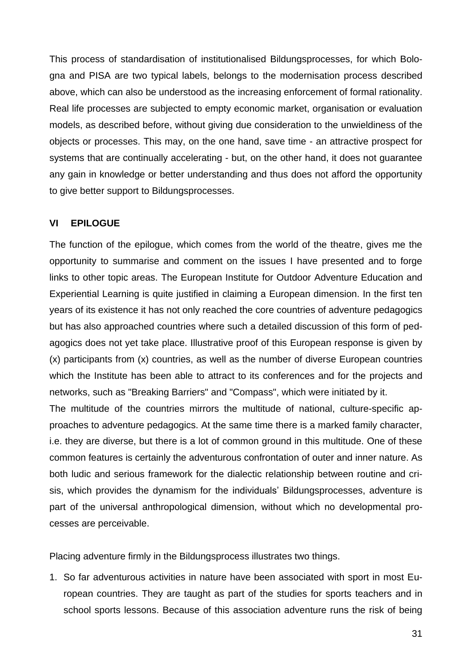This process of standardisation of institutionalised Bildungsprocesses, for which Bologna and PISA are two typical labels, belongs to the modernisation process described above, which can also be understood as the increasing enforcement of formal rationality. Real life processes are subjected to empty economic market, organisation or evaluation models, as described before, without giving due consideration to the unwieldiness of the objects or processes. This may, on the one hand, save time - an attractive prospect for systems that are continually accelerating - but, on the other hand, it does not guarantee any gain in knowledge or better understanding and thus does not afford the opportunity to give better support to Bildungsprocesses.

## **VI EPILOGUE**

The function of the epilogue, which comes from the world of the theatre, gives me the opportunity to summarise and comment on the issues I have presented and to forge links to other topic areas. The European Institute for Outdoor Adventure Education and Experiential Learning is quite justified in claiming a European dimension. In the first ten years of its existence it has not only reached the core countries of adventure pedagogics but has also approached countries where such a detailed discussion of this form of pedagogics does not yet take place. Illustrative proof of this European response is given by (x) participants from (x) countries, as well as the number of diverse European countries which the Institute has been able to attract to its conferences and for the projects and networks, such as "Breaking Barriers" and "Compass", which were initiated by it.

The multitude of the countries mirrors the multitude of national, culture-specific approaches to adventure pedagogics. At the same time there is a marked family character, i.e. they are diverse, but there is a lot of common ground in this multitude. One of these common features is certainly the adventurous confrontation of outer and inner nature. As both ludic and serious framework for the dialectic relationship between routine and crisis, which provides the dynamism for the individuals' Bildungsprocesses, adventure is part of the universal anthropological dimension, without which no developmental processes are perceivable.

Placing adventure firmly in the Bildungsprocess illustrates two things.

1. So far adventurous activities in nature have been associated with sport in most European countries. They are taught as part of the studies for sports teachers and in school sports lessons. Because of this association adventure runs the risk of being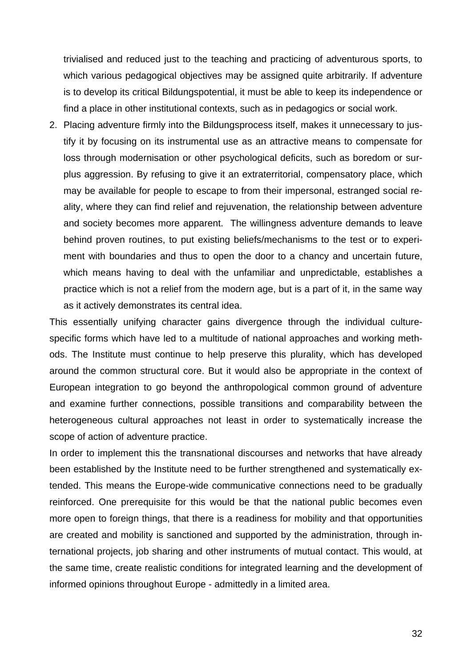trivialised and reduced just to the teaching and practicing of adventurous sports, to which various pedagogical objectives may be assigned quite arbitrarily. If adventure is to develop its critical Bildungspotential, it must be able to keep its independence or find a place in other institutional contexts, such as in pedagogics or social work.

2. Placing adventure firmly into the Bildungsprocess itself, makes it unnecessary to justify it by focusing on its instrumental use as an attractive means to compensate for loss through modernisation or other psychological deficits, such as boredom or surplus aggression. By refusing to give it an extraterritorial, compensatory place, which may be available for people to escape to from their impersonal, estranged social reality, where they can find relief and rejuvenation, the relationship between adventure and society becomes more apparent. The willingness adventure demands to leave behind proven routines, to put existing beliefs/mechanisms to the test or to experiment with boundaries and thus to open the door to a chancy and uncertain future, which means having to deal with the unfamiliar and unpredictable, establishes a practice which is not a relief from the modern age, but is a part of it, in the same way as it actively demonstrates its central idea.

This essentially unifying character gains divergence through the individual culturespecific forms which have led to a multitude of national approaches and working methods. The Institute must continue to help preserve this plurality, which has developed around the common structural core. But it would also be appropriate in the context of European integration to go beyond the anthropological common ground of adventure and examine further connections, possible transitions and comparability between the heterogeneous cultural approaches not least in order to systematically increase the scope of action of adventure practice.

In order to implement this the transnational discourses and networks that have already been established by the Institute need to be further strengthened and systematically extended. This means the Europe-wide communicative connections need to be gradually reinforced. One prerequisite for this would be that the national public becomes even more open to foreign things, that there is a readiness for mobility and that opportunities are created and mobility is sanctioned and supported by the administration, through international projects, job sharing and other instruments of mutual contact. This would, at the same time, create realistic conditions for integrated learning and the development of informed opinions throughout Europe - admittedly in a limited area.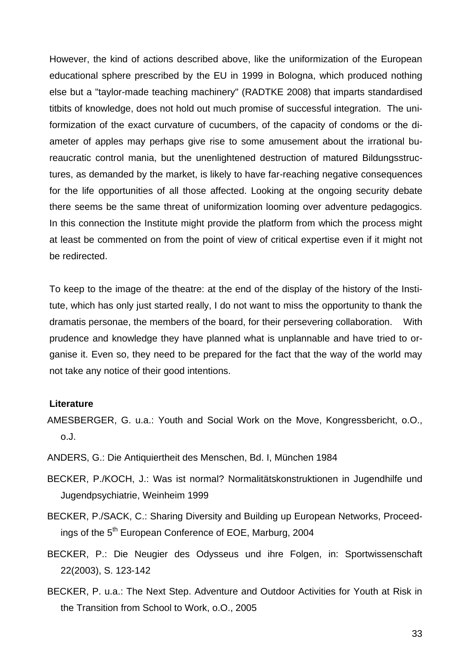However, the kind of actions described above, like the uniformization of the European educational sphere prescribed by the EU in 1999 in Bologna, which produced nothing else but a "taylor-made teaching machinery" (RADTKE 2008) that imparts standardised titbits of knowledge, does not hold out much promise of successful integration. The uniformization of the exact curvature of cucumbers, of the capacity of condoms or the diameter of apples may perhaps give rise to some amusement about the irrational bureaucratic control mania, but the unenlightened destruction of matured Bildungsstructures, as demanded by the market, is likely to have far-reaching negative consequences for the life opportunities of all those affected. Looking at the ongoing security debate there seems be the same threat of uniformization looming over adventure pedagogics. In this connection the Institute might provide the platform from which the process might at least be commented on from the point of view of critical expertise even if it might not be redirected.

To keep to the image of the theatre: at the end of the display of the history of the Institute, which has only just started really, I do not want to miss the opportunity to thank the dramatis personae, the members of the board, for their persevering collaboration. With prudence and knowledge they have planned what is unplannable and have tried to organise it. Even so, they need to be prepared for the fact that the way of the world may not take any notice of their good intentions.

#### **Literature**

- AMESBERGER, G. u.a.: Youth and Social Work on the Move, Kongressbericht, o.O., o.J.
- ANDERS, G.: Die Antiquiertheit des Menschen, Bd. I, München 1984
- BECKER, P./KOCH, J.: Was ist normal? Normalitätskonstruktionen in Jugendhilfe und Jugendpsychiatrie, Weinheim 1999
- BECKER, P./SACK, C.: Sharing Diversity and Building up European Networks, Proceedings of the 5<sup>th</sup> European Conference of EOE, Marburg, 2004
- BECKER, P.: Die Neugier des Odysseus und ihre Folgen, in: Sportwissenschaft 22(2003), S. 123-142
- BECKER, P. u.a.: The Next Step. Adventure and Outdoor Activities for Youth at Risk in the Transition from School to Work, o.O., 2005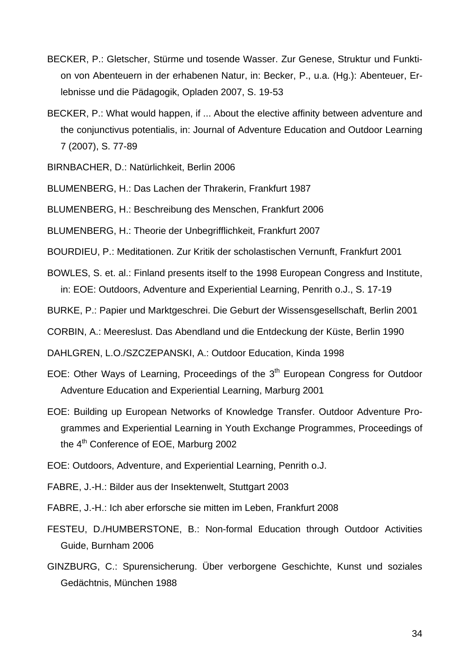- BECKER, P.: Gletscher, Stürme und tosende Wasser. Zur Genese, Struktur und Funktion von Abenteuern in der erhabenen Natur, in: Becker, P., u.a. (Hg.): Abenteuer, Erlebnisse und die Pädagogik, Opladen 2007, S. 19-53
- BECKER, P.: What would happen, if ... About the elective affinity between adventure and the conjunctivus potentialis, in: Journal of Adventure Education and Outdoor Learning 7 (2007), S. 77-89
- BIRNBACHER, D.: Natürlichkeit, Berlin 2006
- BLUMENBERG, H.: Das Lachen der Thrakerin, Frankfurt 1987
- BLUMENBERG, H.: Beschreibung des Menschen, Frankfurt 2006
- BLUMENBERG, H.: Theorie der Unbegrifflichkeit, Frankfurt 2007
- BOURDIEU, P.: Meditationen. Zur Kritik der scholastischen Vernunft, Frankfurt 2001
- BOWLES, S. et. al.: Finland presents itself to the 1998 European Congress and Institute, in: EOE: Outdoors, Adventure and Experiential Learning, Penrith o.J., S. 17-19
- BURKE, P.: Papier und Marktgeschrei. Die Geburt der Wissensgesellschaft, Berlin 2001
- CORBIN, A.: Meereslust. Das Abendland und die Entdeckung der Küste, Berlin 1990
- DAHLGREN, L.O./SZCZEPANSKI, A.: Outdoor Education, Kinda 1998
- EOE: Other Ways of Learning, Proceedings of the  $3<sup>th</sup>$  European Congress for Outdoor Adventure Education and Experiential Learning, Marburg 2001
- EOE: Building up European Networks of Knowledge Transfer. Outdoor Adventure Programmes and Experiential Learning in Youth Exchange Programmes, Proceedings of the 4<sup>th</sup> Conference of EOE, Marburg 2002
- EOE: Outdoors, Adventure, and Experiential Learning, Penrith o.J.
- FABRE, J.-H.: Bilder aus der Insektenwelt, Stuttgart 2003
- FABRE, J.-H.: Ich aber erforsche sie mitten im Leben, Frankfurt 2008
- FESTEU, D./HUMBERSTONE, B.: Non-formal Education through Outdoor Activities Guide, Burnham 2006
- GINZBURG, C.: Spurensicherung. Über verborgene Geschichte, Kunst und soziales Gedächtnis, München 1988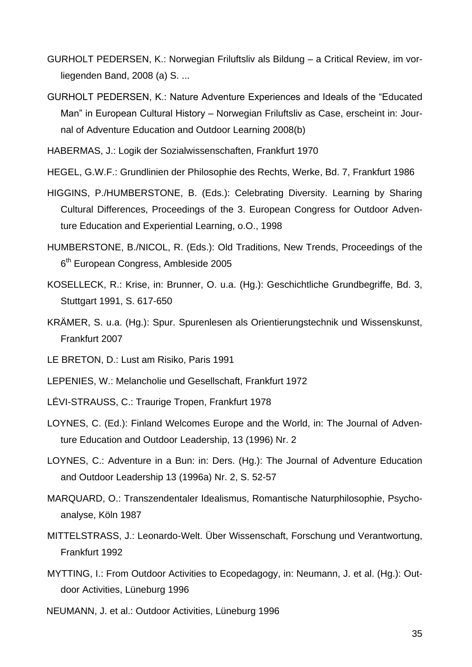- GURHOLT PEDERSEN, K.: Norwegian Friluftsliv als Bildung a Critical Review, im vorliegenden Band, 2008 (a) S. ...
- GURHOLT PEDERSEN, K.: Nature Adventure Experiences and Ideals of the "Educated Man" in European Cultural History – Norwegian Friluftsliv as Case, erscheint in: Journal of Adventure Education and Outdoor Learning 2008(b)
- HABERMAS, J.: Logik der Sozialwissenschaften, Frankfurt 1970
- HEGEL, G.W.F.: Grundlinien der Philosophie des Rechts, Werke, Bd. 7, Frankfurt 1986
- HIGGINS, P./HUMBERSTONE, B. (Eds.): Celebrating Diversity. Learning by Sharing Cultural Differences, Proceedings of the 3. European Congress for Outdoor Adventure Education and Experiential Learning, o.O., 1998
- HUMBERSTONE, B./NICOL, R. (Eds.): Old Traditions, New Trends, Proceedings of the 6<sup>th</sup> European Congress, Ambleside 2005
- KOSELLECK, R.: Krise, in: Brunner, O. u.a. (Hg.): Geschichtliche Grundbegriffe, Bd. 3, Stuttgart 1991, S. 617-650
- KRÄMER, S. u.a. (Hg.): Spur. Spurenlesen als Orientierungstechnik und Wissenskunst, Frankfurt 2007
- LE BRETON, D.: Lust am Risiko, Paris 1991
- LEPENIES, W.: Melancholie und Gesellschaft, Frankfurt 1972
- LÉVI-STRAUSS, C.: Traurige Tropen, Frankfurt 1978
- LOYNES, C. (Ed.): Finland Welcomes Europe and the World, in: The Journal of Adventure Education and Outdoor Leadership, 13 (1996) Nr. 2
- LOYNES, C.: Adventure in a Bun: in: Ders. (Hg.): The Journal of Adventure Education and Outdoor Leadership 13 (1996a) Nr. 2, S. 52-57
- MARQUARD, O.: Transzendentaler Idealismus, Romantische Naturphilosophie, Psychoanalyse, Köln 1987
- MITTELSTRASS, J.: Leonardo-Welt. Über Wissenschaft, Forschung und Verantwortung, Frankfurt 1992
- MYTTING, I.: From Outdoor Activities to Ecopedagogy, in: Neumann, J. et al. (Hg.): Outdoor Activities, Lüneburg 1996
- NEUMANN, J. et al.: Outdoor Activities, Lüneburg 1996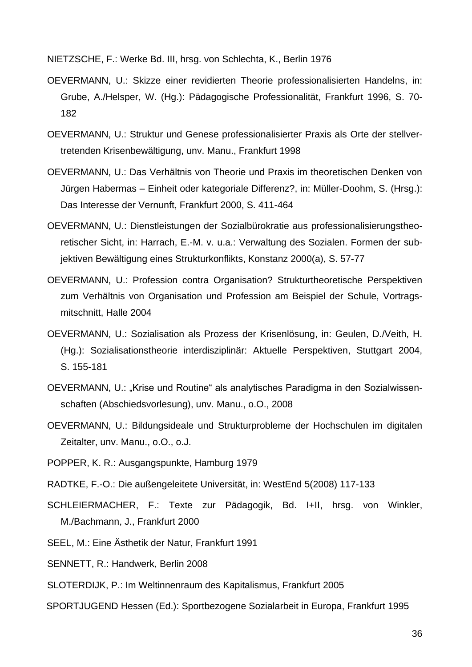NIETZSCHE, F.: Werke Bd. III, hrsg. von Schlechta, K., Berlin 1976

- OEVERMANN, U.: Skizze einer revidierten Theorie professionalisierten Handelns, in: Grube, A./Helsper, W. (Hg.): Pädagogische Professionalität, Frankfurt 1996, S. 70- 182
- OEVERMANN, U.: Struktur und Genese professionalisierter Praxis als Orte der stellvertretenden Krisenbewältigung, unv. Manu., Frankfurt 1998
- OEVERMANN, U.: Das Verhältnis von Theorie und Praxis im theoretischen Denken von Jürgen Habermas – Einheit oder kategoriale Differenz?, in: Müller-Doohm, S. (Hrsg.): Das Interesse der Vernunft, Frankfurt 2000, S. 411-464
- OEVERMANN, U.: Dienstleistungen der Sozialbürokratie aus professionalisierungstheoretischer Sicht, in: Harrach, E.-M. v. u.a.: Verwaltung des Sozialen. Formen der subjektiven Bewältigung eines Strukturkonflikts, Konstanz 2000(a), S. 57-77
- OEVERMANN, U.: Profession contra Organisation? Strukturtheoretische Perspektiven zum Verhältnis von Organisation und Profession am Beispiel der Schule, Vortragsmitschnitt, Halle 2004
- OEVERMANN, U.: Sozialisation als Prozess der Krisenlösung, in: Geulen, D./Veith, H. (Hg.): Sozialisationstheorie interdisziplinär: Aktuelle Perspektiven, Stuttgart 2004, S. 155-181
- OEVERMANN, U.: "Krise und Routine" als analytisches Paradigma in den Sozialwissenschaften (Abschiedsvorlesung), unv. Manu., o.O., 2008
- OEVERMANN, U.: Bildungsideale und Strukturprobleme der Hochschulen im digitalen Zeitalter, unv. Manu., o.O., o.J.
- POPPER, K. R.: Ausgangspunkte, Hamburg 1979
- RADTKE, F.-O.: Die außengeleitete Universität, in: WestEnd 5(2008) 117-133
- SCHLEIERMACHER, F.: Texte zur Pädagogik, Bd. I+II, hrsg. von Winkler, M./Bachmann, J., Frankfurt 2000
- SEEL, M.: Eine Ästhetik der Natur, Frankfurt 1991
- SENNETT, R.: Handwerk, Berlin 2008
- SLOTERDIJK, P.: Im Weltinnenraum des Kapitalismus, Frankfurt 2005
- SPORTJUGEND Hessen (Ed.): Sportbezogene Sozialarbeit in Europa, Frankfurt 1995